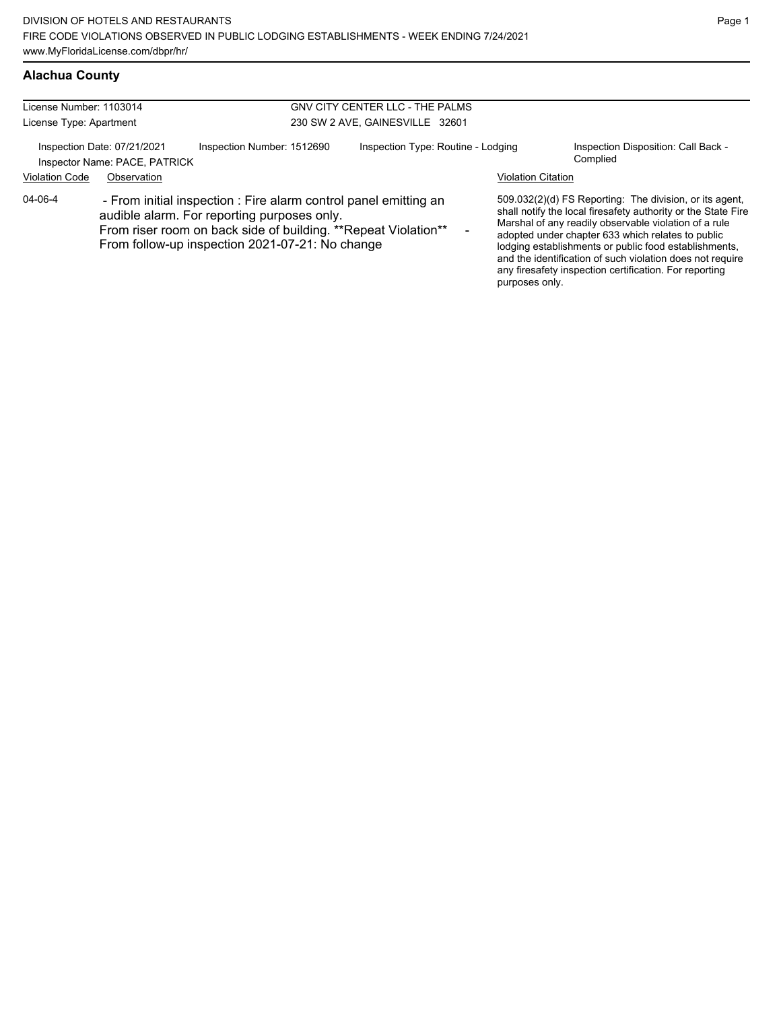| License Number: 1103014 |                                                                                                                                                                                                                                       |                            | <b>GNV CITY CENTER LLC - THE PALMS</b> |                           |                                                                                                                                                                                                                                                                                                                                                                                                                        |
|-------------------------|---------------------------------------------------------------------------------------------------------------------------------------------------------------------------------------------------------------------------------------|----------------------------|----------------------------------------|---------------------------|------------------------------------------------------------------------------------------------------------------------------------------------------------------------------------------------------------------------------------------------------------------------------------------------------------------------------------------------------------------------------------------------------------------------|
| License Type: Apartment |                                                                                                                                                                                                                                       |                            | 230 SW 2 AVE, GAINESVILLE 32601        |                           |                                                                                                                                                                                                                                                                                                                                                                                                                        |
|                         | Inspection Date: 07/21/2021<br>Inspector Name: PACE, PATRICK                                                                                                                                                                          | Inspection Number: 1512690 | Inspection Type: Routine - Lodging     |                           | Inspection Disposition: Call Back -<br>Complied                                                                                                                                                                                                                                                                                                                                                                        |
| <b>Violation Code</b>   | Observation                                                                                                                                                                                                                           |                            |                                        | <b>Violation Citation</b> |                                                                                                                                                                                                                                                                                                                                                                                                                        |
| 04-06-4                 | - From initial inspection : Fire alarm control panel emitting an<br>audible alarm. For reporting purposes only.<br>From riser room on back side of building. ** Repeat Violation**<br>From follow-up inspection 2021-07-21: No change |                            |                                        | purposes only.            | 509.032(2)(d) FS Reporting: The division, or its agent,<br>shall notify the local firesafety authority or the State Fire<br>Marshal of any readily observable violation of a rule<br>adopted under chapter 633 which relates to public<br>lodging establishments or public food establishments,<br>and the identification of such violation does not require<br>any firesafety inspection certification. For reporting |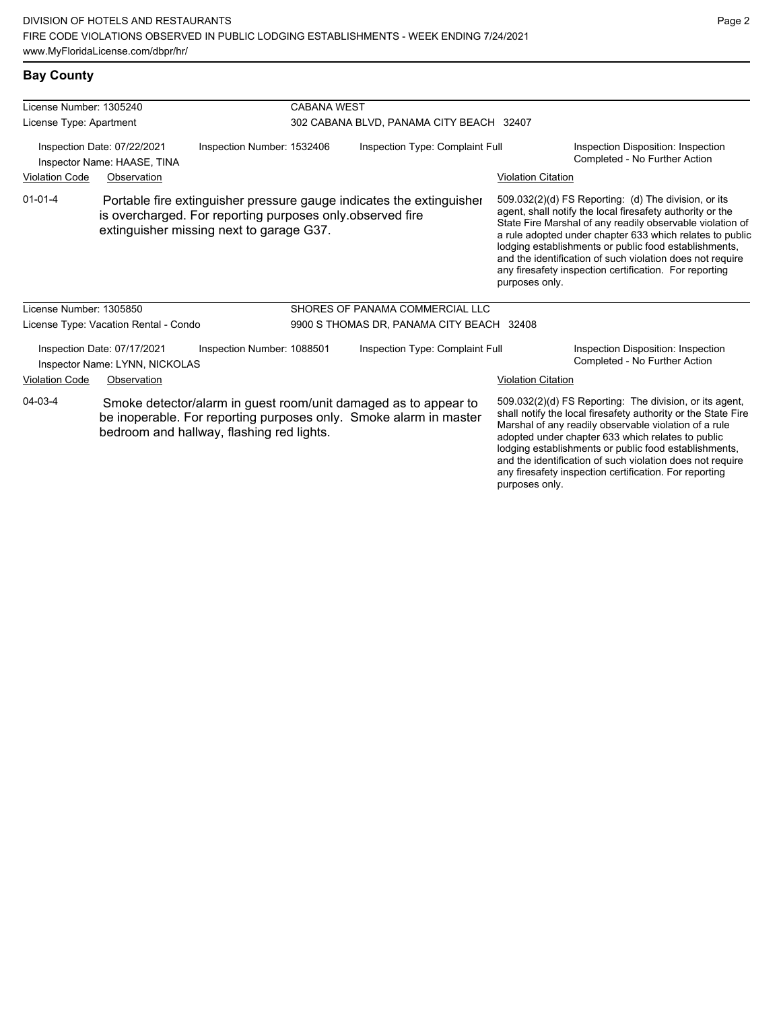### **Bay County**

| License Number: 1305240                                                                  |                                       |                                                                                                       | <b>CABANA WEST</b>                        |                                                                                                                                      |                                                                     |                                                                                                                                                                                                                                                                                                                                                                                                                            |  |
|------------------------------------------------------------------------------------------|---------------------------------------|-------------------------------------------------------------------------------------------------------|-------------------------------------------|--------------------------------------------------------------------------------------------------------------------------------------|---------------------------------------------------------------------|----------------------------------------------------------------------------------------------------------------------------------------------------------------------------------------------------------------------------------------------------------------------------------------------------------------------------------------------------------------------------------------------------------------------------|--|
| License Type: Apartment                                                                  |                                       |                                                                                                       | 302 CABANA BLVD, PANAMA CITY BEACH 32407  |                                                                                                                                      |                                                                     |                                                                                                                                                                                                                                                                                                                                                                                                                            |  |
| Inspection Number: 1532406<br>Inspection Date: 07/22/2021<br>Inspector Name: HAASE, TINA |                                       | Inspection Type: Complaint Full                                                                       |                                           |                                                                                                                                      | Inspection Disposition: Inspection<br>Completed - No Further Action |                                                                                                                                                                                                                                                                                                                                                                                                                            |  |
| <b>Violation Code</b>                                                                    | Observation                           |                                                                                                       |                                           |                                                                                                                                      | <b>Violation Citation</b>                                           |                                                                                                                                                                                                                                                                                                                                                                                                                            |  |
| $01 - 01 - 4$                                                                            |                                       | is overcharged. For reporting purposes only observed fire<br>extinguisher missing next to garage G37. |                                           | Portable fire extinguisher pressure gauge indicates the extinguisher                                                                 | purposes only.                                                      | 509.032(2)(d) FS Reporting: (d) The division, or its<br>agent, shall notify the local firesafety authority or the<br>State Fire Marshal of any readily observable violation of<br>a rule adopted under chapter 633 which relates to public<br>lodging establishments or public food establishments,<br>and the identification of such violation does not require<br>any firesafety inspection certification. For reporting |  |
| License Number: 1305850                                                                  |                                       |                                                                                                       |                                           | SHORES OF PANAMA COMMERCIAL LLC                                                                                                      |                                                                     |                                                                                                                                                                                                                                                                                                                                                                                                                            |  |
|                                                                                          | License Type: Vacation Rental - Condo |                                                                                                       | 9900 S THOMAS DR, PANAMA CITY BEACH 32408 |                                                                                                                                      |                                                                     |                                                                                                                                                                                                                                                                                                                                                                                                                            |  |
| Inspection Date: 07/17/2021<br>Inspector Name: LYNN, NICKOLAS                            |                                       | Inspection Number: 1088501                                                                            |                                           | Inspection Type: Complaint Full                                                                                                      |                                                                     | Inspection Disposition: Inspection<br>Completed - No Further Action                                                                                                                                                                                                                                                                                                                                                        |  |
| <b>Violation Code</b>                                                                    | Observation                           |                                                                                                       |                                           |                                                                                                                                      | <b>Violation Citation</b>                                           |                                                                                                                                                                                                                                                                                                                                                                                                                            |  |
| 04-03-4                                                                                  |                                       | bedroom and hallway, flashing red lights.                                                             |                                           | Smoke detector/alarm in guest room/unit damaged as to appear to<br>be inoperable. For reporting purposes only. Smoke alarm in master |                                                                     | 509.032(2)(d) FS Reporting: The division, or its agent,<br>shall notify the local firesafety authority or the State Fire<br>Marshal of any readily observable violation of a rule<br>adopted under chapter 633 which relates to public<br>lodging establishments or public food establishments,                                                                                                                            |  |

and the identification of such violation does not require any firesafety inspection certification. For reporting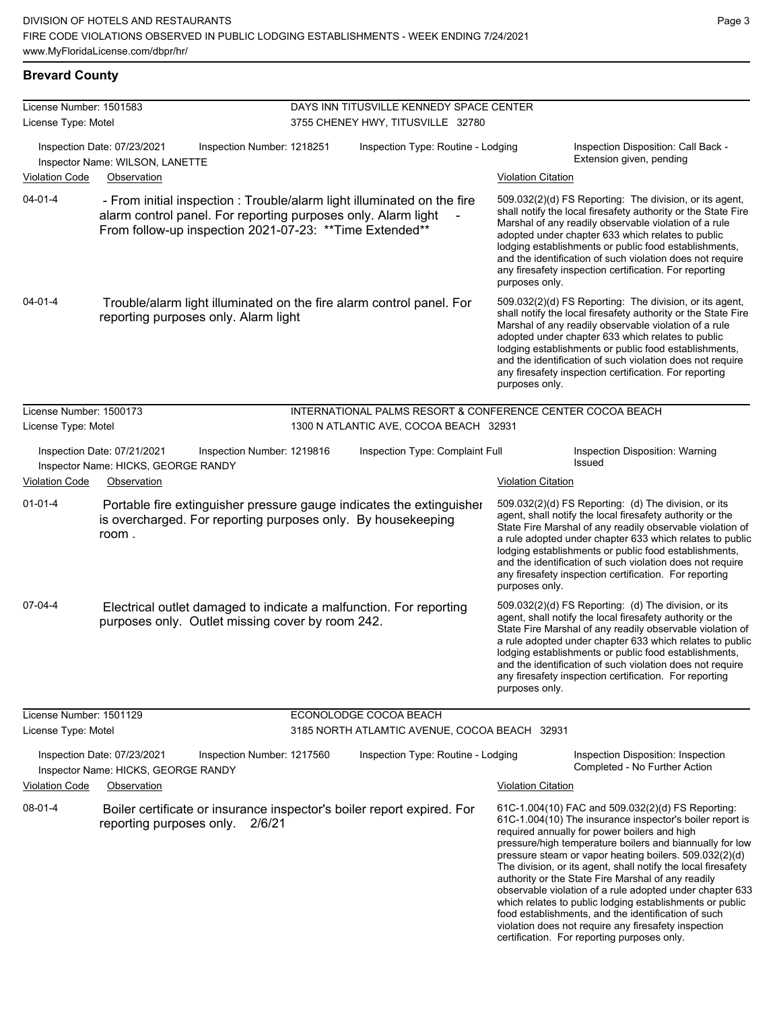| License Number: 1501583 |                                                                                                                                                                                                      | DAYS INN TITUSVILLE KENNEDY SPACE CENTER |                                                            |                                                                                                                                                                                                                                                                                                                                                                                                                                          |                                                                                                                                                                                                                                                                                                                                                                                                                                                                                                                                                                                                                                                                                                  |  |
|-------------------------|------------------------------------------------------------------------------------------------------------------------------------------------------------------------------------------------------|------------------------------------------|------------------------------------------------------------|------------------------------------------------------------------------------------------------------------------------------------------------------------------------------------------------------------------------------------------------------------------------------------------------------------------------------------------------------------------------------------------------------------------------------------------|--------------------------------------------------------------------------------------------------------------------------------------------------------------------------------------------------------------------------------------------------------------------------------------------------------------------------------------------------------------------------------------------------------------------------------------------------------------------------------------------------------------------------------------------------------------------------------------------------------------------------------------------------------------------------------------------------|--|
| License Type: Motel     |                                                                                                                                                                                                      |                                          | 3755 CHENEY HWY, TITUSVILLE 32780                          |                                                                                                                                                                                                                                                                                                                                                                                                                                          |                                                                                                                                                                                                                                                                                                                                                                                                                                                                                                                                                                                                                                                                                                  |  |
|                         | Inspection Date: 07/23/2021<br>Inspection Number: 1218251<br>Inspector Name: WILSON, LANETTE                                                                                                         |                                          | Inspection Type: Routine - Lodging                         |                                                                                                                                                                                                                                                                                                                                                                                                                                          | Inspection Disposition: Call Back -<br>Extension given, pending                                                                                                                                                                                                                                                                                                                                                                                                                                                                                                                                                                                                                                  |  |
| <b>Violation Code</b>   | Observation                                                                                                                                                                                          |                                          |                                                            | <b>Violation Citation</b>                                                                                                                                                                                                                                                                                                                                                                                                                |                                                                                                                                                                                                                                                                                                                                                                                                                                                                                                                                                                                                                                                                                                  |  |
| 04-01-4                 | - From initial inspection : Trouble/alarm light illuminated on the fire<br>alarm control panel. For reporting purposes only. Alarm light<br>From follow-up inspection 2021-07-23: ** Time Extended** |                                          |                                                            | purposes only.                                                                                                                                                                                                                                                                                                                                                                                                                           | 509.032(2)(d) FS Reporting: The division, or its agent,<br>shall notify the local firesafety authority or the State Fire<br>Marshal of any readily observable violation of a rule<br>adopted under chapter 633 which relates to public<br>lodging establishments or public food establishments,<br>and the identification of such violation does not require<br>any firesafety inspection certification. For reporting                                                                                                                                                                                                                                                                           |  |
| $04 - 01 - 4$           | Trouble/alarm light illuminated on the fire alarm control panel. For<br>reporting purposes only. Alarm light                                                                                         |                                          |                                                            | 509.032(2)(d) FS Reporting: The division, or its agent,<br>shall notify the local firesafety authority or the State Fire<br>Marshal of any readily observable violation of a rule<br>adopted under chapter 633 which relates to public<br>lodging establishments or public food establishments,<br>and the identification of such violation does not require<br>any firesafety inspection certification. For reporting<br>purposes only. |                                                                                                                                                                                                                                                                                                                                                                                                                                                                                                                                                                                                                                                                                                  |  |
| License Number: 1500173 |                                                                                                                                                                                                      |                                          | INTERNATIONAL PALMS RESORT & CONFERENCE CENTER COCOA BEACH |                                                                                                                                                                                                                                                                                                                                                                                                                                          |                                                                                                                                                                                                                                                                                                                                                                                                                                                                                                                                                                                                                                                                                                  |  |
| License Type: Motel     |                                                                                                                                                                                                      |                                          | 1300 N ATLANTIC AVE, COCOA BEACH 32931                     |                                                                                                                                                                                                                                                                                                                                                                                                                                          |                                                                                                                                                                                                                                                                                                                                                                                                                                                                                                                                                                                                                                                                                                  |  |
| <b>Violation Code</b>   | Inspection Date: 07/21/2021<br>Inspection Number: 1219816<br>Inspector Name: HICKS, GEORGE RANDY<br>Observation                                                                                      |                                          | Inspection Type: Complaint Full                            | <b>Violation Citation</b>                                                                                                                                                                                                                                                                                                                                                                                                                | Inspection Disposition: Warning<br><b>Issued</b>                                                                                                                                                                                                                                                                                                                                                                                                                                                                                                                                                                                                                                                 |  |
| $01 - 01 - 4$           | Portable fire extinguisher pressure gauge indicates the extinguisher<br>is overcharged. For reporting purposes only. By housekeeping<br>room.                                                        |                                          |                                                            | purposes only.                                                                                                                                                                                                                                                                                                                                                                                                                           | 509.032(2)(d) FS Reporting: (d) The division, or its<br>agent, shall notify the local firesafety authority or the<br>State Fire Marshal of any readily observable violation of<br>a rule adopted under chapter 633 which relates to public<br>lodging establishments or public food establishments,<br>and the identification of such violation does not require<br>any firesafety inspection certification. For reporting                                                                                                                                                                                                                                                                       |  |
| 07-04-4                 | Electrical outlet damaged to indicate a malfunction. For reporting<br>purposes only. Outlet missing cover by room 242.                                                                               |                                          |                                                            | purposes only.                                                                                                                                                                                                                                                                                                                                                                                                                           | 509.032(2)(d) FS Reporting: (d) The division, or its<br>agent, shall notify the local firesafety authority or the<br>State Fire Marshal of any readily observable violation of<br>a rule adopted under chapter 633 which relates to public<br>lodging establishments or public food establishments,<br>and the identification of such violation does not require<br>any firesafety inspection certification. For reporting                                                                                                                                                                                                                                                                       |  |
| License Number: 1501129 |                                                                                                                                                                                                      |                                          | ECONOLODGE COCOA BEACH                                     |                                                                                                                                                                                                                                                                                                                                                                                                                                          |                                                                                                                                                                                                                                                                                                                                                                                                                                                                                                                                                                                                                                                                                                  |  |
| License Type: Motel     |                                                                                                                                                                                                      |                                          | 3185 NORTH ATLAMTIC AVENUE, COCOA BEACH 32931              |                                                                                                                                                                                                                                                                                                                                                                                                                                          |                                                                                                                                                                                                                                                                                                                                                                                                                                                                                                                                                                                                                                                                                                  |  |
|                         | Inspection Date: 07/23/2021<br>Inspection Number: 1217560<br>Inspector Name: HICKS, GEORGE RANDY                                                                                                     |                                          | Inspection Type: Routine - Lodging                         |                                                                                                                                                                                                                                                                                                                                                                                                                                          | Inspection Disposition: Inspection<br>Completed - No Further Action                                                                                                                                                                                                                                                                                                                                                                                                                                                                                                                                                                                                                              |  |
| <b>Violation Code</b>   | Observation                                                                                                                                                                                          |                                          |                                                            | <b>Violation Citation</b>                                                                                                                                                                                                                                                                                                                                                                                                                |                                                                                                                                                                                                                                                                                                                                                                                                                                                                                                                                                                                                                                                                                                  |  |
| 08-01-4                 | Boiler certificate or insurance inspector's boiler report expired. For<br>reporting purposes only.<br>2/6/21                                                                                         |                                          |                                                            |                                                                                                                                                                                                                                                                                                                                                                                                                                          | 61C-1.004(10) FAC and 509.032(2)(d) FS Reporting:<br>61C-1.004(10) The insurance inspector's boiler report is<br>required annually for power boilers and high<br>pressure/high temperature boilers and biannually for low<br>pressure steam or vapor heating boilers. 509.032(2)(d)<br>The division, or its agent, shall notify the local firesafety<br>authority or the State Fire Marshal of any readily<br>observable violation of a rule adopted under chapter 633<br>which relates to public lodging establishments or public<br>food establishments, and the identification of such<br>violation does not require any firesafety inspection<br>certification. For reporting purposes only. |  |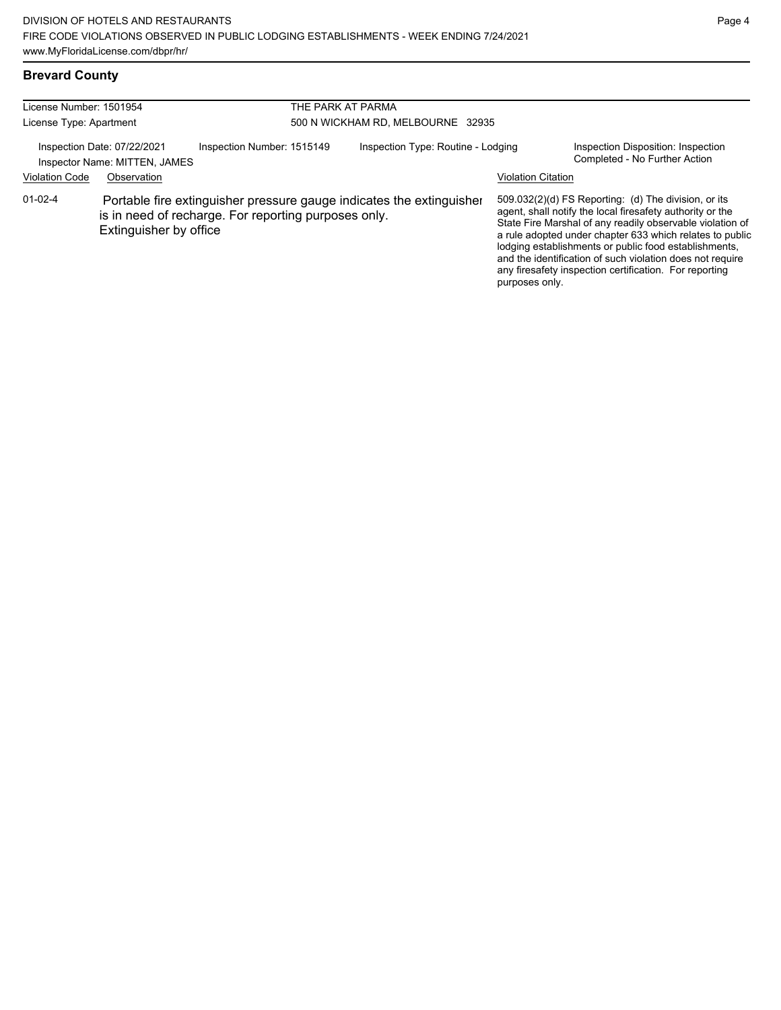### **Brevard County**

| License Number: 1501954<br>License Type: Apartment           |                        |                                                                                                                              | THE PARK AT PARMA<br>500 N WICKHAM RD, MELBOURNE 32935 |                           |                                                                                                                                                                                                                                                                                                                                                                                                                            |  |
|--------------------------------------------------------------|------------------------|------------------------------------------------------------------------------------------------------------------------------|--------------------------------------------------------|---------------------------|----------------------------------------------------------------------------------------------------------------------------------------------------------------------------------------------------------------------------------------------------------------------------------------------------------------------------------------------------------------------------------------------------------------------------|--|
| Inspection Date: 07/22/2021<br>Inspector Name: MITTEN, JAMES |                        | Inspection Number: 1515149                                                                                                   | Inspection Type: Routine - Lodging                     |                           | Inspection Disposition: Inspection<br>Completed - No Further Action                                                                                                                                                                                                                                                                                                                                                        |  |
| <b>Violation Code</b>                                        | Observation            |                                                                                                                              |                                                        | <b>Violation Citation</b> |                                                                                                                                                                                                                                                                                                                                                                                                                            |  |
| $01 - 02 - 4$                                                | Extinguisher by office | Portable fire extinguisher pressure gauge indicates the extinguisher<br>is in need of recharge. For reporting purposes only. |                                                        | purposes only.            | 509.032(2)(d) FS Reporting: (d) The division, or its<br>agent, shall notify the local firesafety authority or the<br>State Fire Marshal of any readily observable violation of<br>a rule adopted under chapter 633 which relates to public<br>lodging establishments or public food establishments,<br>and the identification of such violation does not require<br>any firesafety inspection certification. For reporting |  |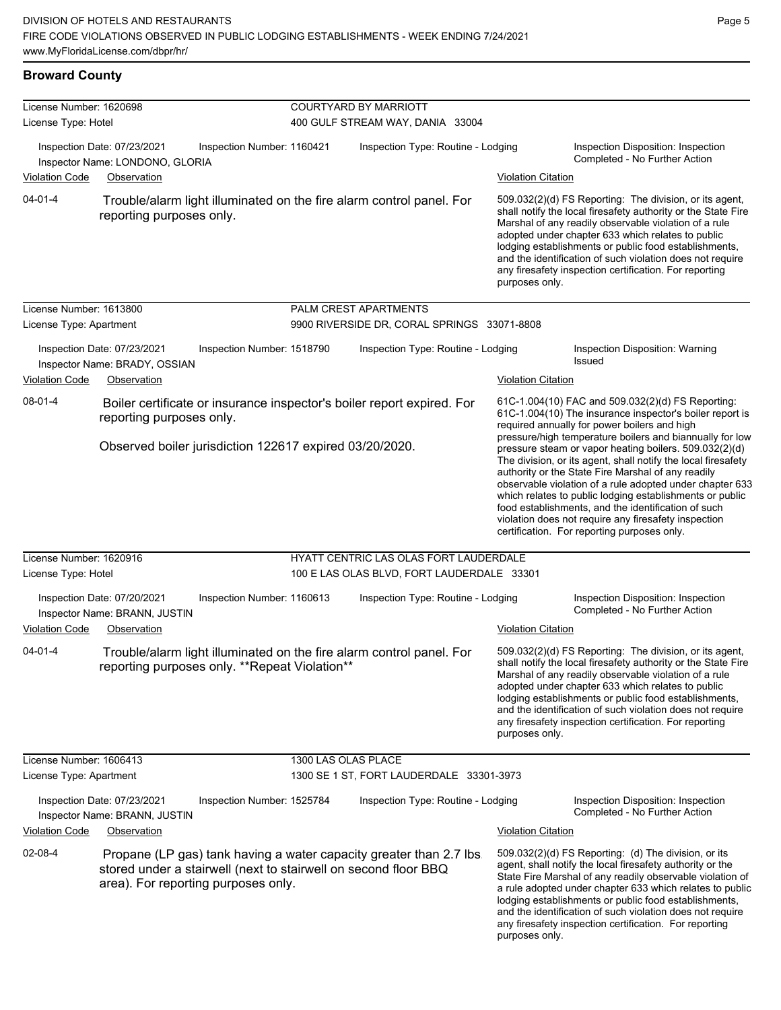#### **Broward County**

| License Number: 1620698                                                                              |                                                                                                        |                            | <b>COURTYARD BY MARRIOTT</b>                                           |                                                                                                                                                                                                                                                                                                                                                                                                                                          |                                                                                                                                                                                                                                                                                                                                                                                                                                                                     |  |  |  |
|------------------------------------------------------------------------------------------------------|--------------------------------------------------------------------------------------------------------|----------------------------|------------------------------------------------------------------------|------------------------------------------------------------------------------------------------------------------------------------------------------------------------------------------------------------------------------------------------------------------------------------------------------------------------------------------------------------------------------------------------------------------------------------------|---------------------------------------------------------------------------------------------------------------------------------------------------------------------------------------------------------------------------------------------------------------------------------------------------------------------------------------------------------------------------------------------------------------------------------------------------------------------|--|--|--|
| License Type: Hotel                                                                                  |                                                                                                        |                            | 400 GULF STREAM WAY, DANIA 33004                                       |                                                                                                                                                                                                                                                                                                                                                                                                                                          |                                                                                                                                                                                                                                                                                                                                                                                                                                                                     |  |  |  |
|                                                                                                      | Inspection Date: 07/23/2021<br>Inspector Name: LONDONO, GLORIA                                         | Inspection Number: 1160421 | Inspection Type: Routine - Lodging                                     |                                                                                                                                                                                                                                                                                                                                                                                                                                          | Inspection Disposition: Inspection<br>Completed - No Further Action                                                                                                                                                                                                                                                                                                                                                                                                 |  |  |  |
| <b>Violation Code</b>                                                                                | Observation                                                                                            |                            |                                                                        | <b>Violation Citation</b>                                                                                                                                                                                                                                                                                                                                                                                                                |                                                                                                                                                                                                                                                                                                                                                                                                                                                                     |  |  |  |
| 04-01-4<br>reporting purposes only.                                                                  |                                                                                                        |                            | Trouble/alarm light illuminated on the fire alarm control panel. For   |                                                                                                                                                                                                                                                                                                                                                                                                                                          | 509.032(2)(d) FS Reporting: The division, or its agent,<br>shall notify the local firesafety authority or the State Fire<br>Marshal of any readily observable violation of a rule<br>adopted under chapter 633 which relates to public<br>lodging establishments or public food establishments,<br>and the identification of such violation does not require<br>any firesafety inspection certification. For reporting                                              |  |  |  |
| License Number: 1613800                                                                              |                                                                                                        |                            | PALM CREST APARTMENTS                                                  |                                                                                                                                                                                                                                                                                                                                                                                                                                          |                                                                                                                                                                                                                                                                                                                                                                                                                                                                     |  |  |  |
| License Type: Apartment                                                                              |                                                                                                        |                            | 9900 RIVERSIDE DR, CORAL SPRINGS 33071-8808                            |                                                                                                                                                                                                                                                                                                                                                                                                                                          |                                                                                                                                                                                                                                                                                                                                                                                                                                                                     |  |  |  |
| Inspection Date: 07/23/2021<br>Inspector Name: BRADY, OSSIAN<br><b>Violation Code</b><br>Observation |                                                                                                        | Inspection Number: 1518790 | Inspection Type: Routine - Lodging                                     | <b>Violation Citation</b>                                                                                                                                                                                                                                                                                                                                                                                                                | Inspection Disposition: Warning<br>Issued                                                                                                                                                                                                                                                                                                                                                                                                                           |  |  |  |
| 08-01-4<br>reporting purposes only.                                                                  |                                                                                                        |                            | Boiler certificate or insurance inspector's boiler report expired. For |                                                                                                                                                                                                                                                                                                                                                                                                                                          | 61C-1.004(10) FAC and 509.032(2)(d) FS Reporting:<br>61C-1.004(10) The insurance inspector's boiler report is<br>required annually for power boilers and high<br>pressure/high temperature boilers and biannually for low                                                                                                                                                                                                                                           |  |  |  |
|                                                                                                      | Observed boiler jurisdiction 122617 expired 03/20/2020.                                                |                            |                                                                        |                                                                                                                                                                                                                                                                                                                                                                                                                                          | pressure steam or vapor heating boilers. 509.032(2)(d)<br>The division, or its agent, shall notify the local firesafety<br>authority or the State Fire Marshal of any readily<br>observable violation of a rule adopted under chapter 633<br>which relates to public lodging establishments or public<br>food establishments, and the identification of such<br>violation does not require any firesafety inspection<br>certification. For reporting purposes only. |  |  |  |
| License Number: 1620916                                                                              |                                                                                                        |                            | HYATT CENTRIC LAS OLAS FORT LAUDERDALE                                 |                                                                                                                                                                                                                                                                                                                                                                                                                                          |                                                                                                                                                                                                                                                                                                                                                                                                                                                                     |  |  |  |
| License Type: Hotel                                                                                  |                                                                                                        |                            | 100 E LAS OLAS BLVD, FORT LAUDERDALE 33301                             |                                                                                                                                                                                                                                                                                                                                                                                                                                          |                                                                                                                                                                                                                                                                                                                                                                                                                                                                     |  |  |  |
|                                                                                                      | Inspection Date: 07/20/2021<br>Inspector Name: BRANN, JUSTIN                                           | Inspection Number: 1160613 | Inspection Type: Routine - Lodging                                     |                                                                                                                                                                                                                                                                                                                                                                                                                                          | Inspection Disposition: Inspection<br>Completed - No Further Action                                                                                                                                                                                                                                                                                                                                                                                                 |  |  |  |
| <b>Violation Code</b>                                                                                | Observation                                                                                            |                            |                                                                        | <b>Violation Citation</b>                                                                                                                                                                                                                                                                                                                                                                                                                |                                                                                                                                                                                                                                                                                                                                                                                                                                                                     |  |  |  |
| 04-01-4                                                                                              | reporting purposes only. **Repeat Violation**                                                          |                            | Trouble/alarm light illuminated on the fire alarm control panel. For   | 509.032(2)(d) FS Reporting: The division, or its agent,<br>shall notify the local firesafety authority or the State Fire<br>Marshal of any readily observable violation of a rule<br>adopted under chapter 633 which relates to public<br>lodging establishments or public food establishments,<br>and the identification of such violation does not require<br>any firesafety inspection certification. For reporting<br>purposes only. |                                                                                                                                                                                                                                                                                                                                                                                                                                                                     |  |  |  |
| License Number: 1606413                                                                              |                                                                                                        |                            | 1300 LAS OLAS PLACE                                                    |                                                                                                                                                                                                                                                                                                                                                                                                                                          |                                                                                                                                                                                                                                                                                                                                                                                                                                                                     |  |  |  |
| License Type: Apartment                                                                              |                                                                                                        |                            | 1300 SE 1 ST, FORT LAUDERDALE 33301-3973                               |                                                                                                                                                                                                                                                                                                                                                                                                                                          |                                                                                                                                                                                                                                                                                                                                                                                                                                                                     |  |  |  |
|                                                                                                      | Inspection Date: 07/23/2021<br>Inspector Name: BRANN, JUSTIN                                           | Inspection Number: 1525784 | Inspection Type: Routine - Lodging                                     |                                                                                                                                                                                                                                                                                                                                                                                                                                          | Inspection Disposition: Inspection<br>Completed - No Further Action                                                                                                                                                                                                                                                                                                                                                                                                 |  |  |  |
| <b>Violation Code</b>                                                                                | Observation                                                                                            |                            |                                                                        | <b>Violation Citation</b>                                                                                                                                                                                                                                                                                                                                                                                                                |                                                                                                                                                                                                                                                                                                                                                                                                                                                                     |  |  |  |
| 02-08-4                                                                                              | stored under a stairwell (next to stairwell on second floor BBQ<br>area). For reporting purposes only. |                            | Propane (LP gas) tank having a water capacity greater than 2.7 lbs.    | purposes only.                                                                                                                                                                                                                                                                                                                                                                                                                           | 509.032(2)(d) FS Reporting: (d) The division, or its<br>agent, shall notify the local firesafety authority or the<br>State Fire Marshal of any readily observable violation of<br>a rule adopted under chapter 633 which relates to public<br>lodging establishments or public food establishments,<br>and the identification of such violation does not require<br>any firesafety inspection certification. For reporting                                          |  |  |  |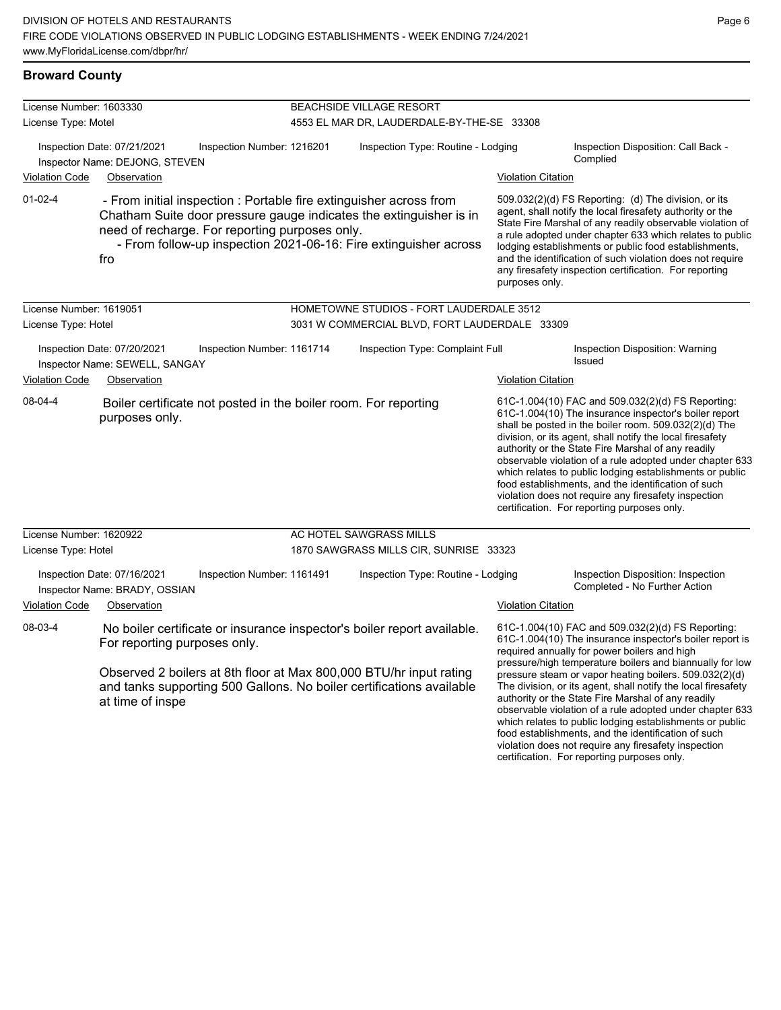| License Number: 1603330 |                                                                                                                                                                                                                                                                           |                            | <b>BEACHSIDE VILLAGE RESORT</b>               |                           |                                                                                                                                                                                                                                                                                                                                                                                                                                                                                                                                                                                                                                                   |  |  |
|-------------------------|---------------------------------------------------------------------------------------------------------------------------------------------------------------------------------------------------------------------------------------------------------------------------|----------------------------|-----------------------------------------------|---------------------------|---------------------------------------------------------------------------------------------------------------------------------------------------------------------------------------------------------------------------------------------------------------------------------------------------------------------------------------------------------------------------------------------------------------------------------------------------------------------------------------------------------------------------------------------------------------------------------------------------------------------------------------------------|--|--|
| License Type: Motel     |                                                                                                                                                                                                                                                                           |                            | 4553 EL MAR DR, LAUDERDALE-BY-THE-SE 33308    |                           |                                                                                                                                                                                                                                                                                                                                                                                                                                                                                                                                                                                                                                                   |  |  |
| <b>Violation Code</b>   | Inspection Date: 07/21/2021<br>Inspector Name: DEJONG, STEVEN<br>Observation                                                                                                                                                                                              | Inspection Number: 1216201 | Inspection Type: Routine - Lodging            | <b>Violation Citation</b> | Inspection Disposition: Call Back -<br>Complied                                                                                                                                                                                                                                                                                                                                                                                                                                                                                                                                                                                                   |  |  |
|                         |                                                                                                                                                                                                                                                                           |                            |                                               |                           |                                                                                                                                                                                                                                                                                                                                                                                                                                                                                                                                                                                                                                                   |  |  |
| $01-02-4$               | - From initial inspection : Portable fire extinguisher across from<br>Chatham Suite door pressure gauge indicates the extinguisher is in<br>need of recharge. For reporting purposes only.<br>- From follow-up inspection 2021-06-16: Fire extinguisher across<br>fro     |                            |                                               | purposes only.            | 509.032(2)(d) FS Reporting: (d) The division, or its<br>agent, shall notify the local firesafety authority or the<br>State Fire Marshal of any readily observable violation of<br>a rule adopted under chapter 633 which relates to public<br>lodging establishments or public food establishments,<br>and the identification of such violation does not require<br>any firesafety inspection certification. For reporting                                                                                                                                                                                                                        |  |  |
| License Number: 1619051 |                                                                                                                                                                                                                                                                           |                            | HOMETOWNE STUDIOS - FORT LAUDERDALE 3512      |                           |                                                                                                                                                                                                                                                                                                                                                                                                                                                                                                                                                                                                                                                   |  |  |
| License Type: Hotel     |                                                                                                                                                                                                                                                                           |                            | 3031 W COMMERCIAL BLVD, FORT LAUDERDALE 33309 |                           |                                                                                                                                                                                                                                                                                                                                                                                                                                                                                                                                                                                                                                                   |  |  |
|                         | Inspection Date: 07/20/2021<br>Inspector Name: SEWELL, SANGAY                                                                                                                                                                                                             | Inspection Number: 1161714 | Inspection Type: Complaint Full               |                           | Inspection Disposition: Warning<br>Issued                                                                                                                                                                                                                                                                                                                                                                                                                                                                                                                                                                                                         |  |  |
| <b>Violation Code</b>   | Observation                                                                                                                                                                                                                                                               |                            |                                               | <b>Violation Citation</b> |                                                                                                                                                                                                                                                                                                                                                                                                                                                                                                                                                                                                                                                   |  |  |
| 08-04-4                 | Boiler certificate not posted in the boiler room. For reporting<br>purposes only.                                                                                                                                                                                         |                            |                                               |                           | 61C-1.004(10) FAC and 509.032(2)(d) FS Reporting:<br>61C-1.004(10) The insurance inspector's boiler report<br>shall be posted in the boiler room. 509.032(2)(d) The<br>division, or its agent, shall notify the local firesafety<br>authority or the State Fire Marshal of any readily<br>observable violation of a rule adopted under chapter 633<br>which relates to public lodging establishments or public<br>food establishments, and the identification of such<br>violation does not require any firesafety inspection<br>certification. For reporting purposes only.                                                                      |  |  |
| License Number: 1620922 |                                                                                                                                                                                                                                                                           |                            | AC HOTEL SAWGRASS MILLS                       |                           |                                                                                                                                                                                                                                                                                                                                                                                                                                                                                                                                                                                                                                                   |  |  |
| License Type: Hotel     |                                                                                                                                                                                                                                                                           |                            | 1870 SAWGRASS MILLS CIR, SUNRISE 33323        |                           |                                                                                                                                                                                                                                                                                                                                                                                                                                                                                                                                                                                                                                                   |  |  |
| <b>Violation Code</b>   | Inspection Date: 07/16/2021<br>Inspector Name: BRADY, OSSIAN<br>Observation                                                                                                                                                                                               | Inspection Number: 1161491 | Inspection Type: Routine - Lodging            | <b>Violation Citation</b> | Inspection Disposition: Inspection<br>Completed - No Further Action                                                                                                                                                                                                                                                                                                                                                                                                                                                                                                                                                                               |  |  |
|                         |                                                                                                                                                                                                                                                                           |                            |                                               |                           |                                                                                                                                                                                                                                                                                                                                                                                                                                                                                                                                                                                                                                                   |  |  |
| 08-03-4                 | No boiler certificate or insurance inspector's boiler report available.<br>For reporting purposes only.<br>Observed 2 boilers at 8th floor at Max 800,000 BTU/hr input rating<br>and tanks supporting 500 Gallons. No boiler certifications available<br>at time of inspe |                            |                                               |                           | 61C-1.004(10) FAC and 509.032(2)(d) FS Reporting:<br>61C-1.004(10) The insurance inspector's boiler report is<br>required annually for power boilers and high<br>pressure/high temperature boilers and biannually for low<br>pressure steam or vapor heating boilers. 509.032(2)(d)<br>The division, or its agent, shall notify the local firesafety<br>authority or the State Fire Marshal of any readily<br>observable violation of a rule adopted under chapter 633<br>which relates to public lodging establishments or public<br>food establishments, and the identification of such<br>violation does not require any firesafety inspection |  |  |

certification. For reporting purposes only.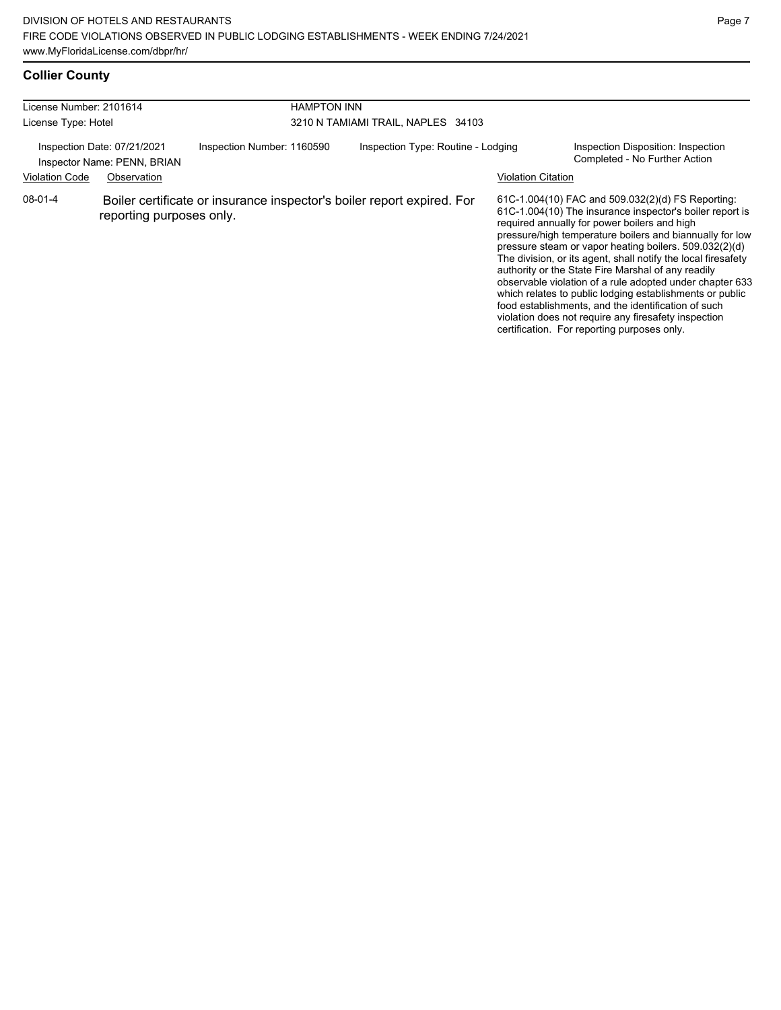# **Collier County**

| License Number: 2101614<br>License Type: Hotel |                                                                           | <b>HAMPTON INN</b><br>3210 N TAMIAMI TRAIL, NAPLES 34103 |  |                                                                        |                    |                                                                                                                                                                                                                                                                                                                                                                                                                                                                                                                                                                                                                                                                                                  |
|------------------------------------------------|---------------------------------------------------------------------------|----------------------------------------------------------|--|------------------------------------------------------------------------|--------------------|--------------------------------------------------------------------------------------------------------------------------------------------------------------------------------------------------------------------------------------------------------------------------------------------------------------------------------------------------------------------------------------------------------------------------------------------------------------------------------------------------------------------------------------------------------------------------------------------------------------------------------------------------------------------------------------------------|
| <b>Violation Code</b>                          | Inspection Date: 07/21/2021<br>Inspector Name: PENN, BRIAN<br>Observation | Inspection Number: 1160590                               |  | Inspection Type: Routine - Lodging                                     | Violation Citation | Inspection Disposition: Inspection<br>Completed - No Further Action                                                                                                                                                                                                                                                                                                                                                                                                                                                                                                                                                                                                                              |
| $08-01-4$                                      | reporting purposes only.                                                  |                                                          |  | Boiler certificate or insurance inspector's boiler report expired. For |                    | 61C-1.004(10) FAC and 509.032(2)(d) FS Reporting:<br>61C-1.004(10) The insurance inspector's boiler report is<br>required annually for power boilers and high<br>pressure/high temperature boilers and biannually for low<br>pressure steam or vapor heating boilers. 509.032(2)(d)<br>The division, or its agent, shall notify the local firesafety<br>authority or the State Fire Marshal of any readily<br>observable violation of a rule adopted under chapter 633<br>which relates to public lodging establishments or public<br>food establishments, and the identification of such<br>violation does not require any firesafety inspection<br>certification. For reporting purposes only. |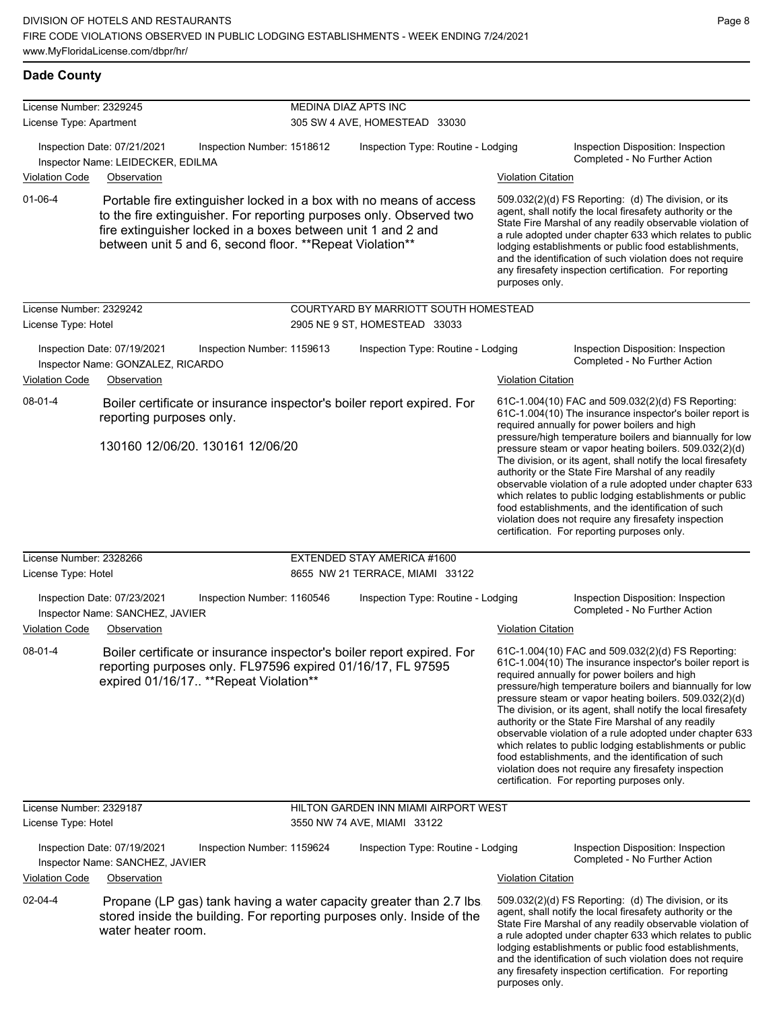| License Number: 2329245                        |                                                                                                                                                                                                                                                                        | MEDINA DIAZ APTS INC          |                                                                        |                           |                                                                                                                                                                                                                                                                                                                                                                                                                                                                                                                                                                                                                                                                                                  |  |
|------------------------------------------------|------------------------------------------------------------------------------------------------------------------------------------------------------------------------------------------------------------------------------------------------------------------------|-------------------------------|------------------------------------------------------------------------|---------------------------|--------------------------------------------------------------------------------------------------------------------------------------------------------------------------------------------------------------------------------------------------------------------------------------------------------------------------------------------------------------------------------------------------------------------------------------------------------------------------------------------------------------------------------------------------------------------------------------------------------------------------------------------------------------------------------------------------|--|
| License Type: Apartment                        |                                                                                                                                                                                                                                                                        | 305 SW 4 AVE, HOMESTEAD 33030 |                                                                        |                           |                                                                                                                                                                                                                                                                                                                                                                                                                                                                                                                                                                                                                                                                                                  |  |
|                                                | Inspection Date: 07/21/2021<br>Inspection Number: 1518612<br>Inspector Name: LEIDECKER, EDILMA                                                                                                                                                                         |                               | Inspection Type: Routine - Lodging                                     |                           | Inspection Disposition: Inspection<br>Completed - No Further Action                                                                                                                                                                                                                                                                                                                                                                                                                                                                                                                                                                                                                              |  |
| <b>Violation Code</b>                          | Observation                                                                                                                                                                                                                                                            |                               |                                                                        | <b>Violation Citation</b> |                                                                                                                                                                                                                                                                                                                                                                                                                                                                                                                                                                                                                                                                                                  |  |
| $01 - 06 - 4$                                  | Portable fire extinguisher locked in a box with no means of access<br>to the fire extinguisher. For reporting purposes only. Observed two<br>fire extinguisher locked in a boxes between unit 1 and 2 and<br>between unit 5 and 6, second floor. ** Repeat Violation** |                               |                                                                        | purposes only.            | 509.032(2)(d) FS Reporting: (d) The division, or its<br>agent, shall notify the local firesafety authority or the<br>State Fire Marshal of any readily observable violation of<br>a rule adopted under chapter 633 which relates to public<br>lodging establishments or public food establishments,<br>and the identification of such violation does not require<br>any firesafety inspection certification. For reporting                                                                                                                                                                                                                                                                       |  |
| License Number: 2329242<br>License Type: Hotel |                                                                                                                                                                                                                                                                        |                               | COURTYARD BY MARRIOTT SOUTH HOMESTEAD<br>2905 NE 9 ST, HOMESTEAD 33033 |                           |                                                                                                                                                                                                                                                                                                                                                                                                                                                                                                                                                                                                                                                                                                  |  |
|                                                | Inspection Date: 07/19/2021<br>Inspection Number: 1159613<br>Inspector Name: GONZALEZ, RICARDO                                                                                                                                                                         |                               | Inspection Type: Routine - Lodging                                     |                           | Inspection Disposition: Inspection<br>Completed - No Further Action                                                                                                                                                                                                                                                                                                                                                                                                                                                                                                                                                                                                                              |  |
| <b>Violation Code</b>                          | Observation                                                                                                                                                                                                                                                            |                               |                                                                        | <b>Violation Citation</b> |                                                                                                                                                                                                                                                                                                                                                                                                                                                                                                                                                                                                                                                                                                  |  |
| 08-01-4                                        | Boiler certificate or insurance inspector's boiler report expired. For<br>reporting purposes only.<br>130160 12/06/20, 130161 12/06/20                                                                                                                                 |                               |                                                                        |                           | 61C-1.004(10) FAC and 509.032(2)(d) FS Reporting:<br>61C-1.004(10) The insurance inspector's boiler report is<br>required annually for power boilers and high<br>pressure/high temperature boilers and biannually for low<br>pressure steam or vapor heating boilers. 509.032(2)(d)<br>The division, or its agent, shall notify the local firesafety<br>authority or the State Fire Marshal of any readily<br>observable violation of a rule adopted under chapter 633<br>which relates to public lodging establishments or public<br>food establishments, and the identification of such<br>violation does not require any firesafety inspection<br>certification. For reporting purposes only. |  |
| License Number: 2328266                        |                                                                                                                                                                                                                                                                        |                               | EXTENDED STAY AMERICA #1600                                            |                           |                                                                                                                                                                                                                                                                                                                                                                                                                                                                                                                                                                                                                                                                                                  |  |
| License Type: Hotel                            |                                                                                                                                                                                                                                                                        |                               | 8655 NW 21 TERRACE, MIAMI 33122                                        |                           |                                                                                                                                                                                                                                                                                                                                                                                                                                                                                                                                                                                                                                                                                                  |  |
|                                                | Inspection Date: 07/23/2021<br>Inspection Number: 1160546<br>Inspector Name: SANCHEZ, JAVIER                                                                                                                                                                           |                               | Inspection Type: Routine - Lodging                                     |                           | Inspection Disposition: Inspection<br>Completed - No Further Action                                                                                                                                                                                                                                                                                                                                                                                                                                                                                                                                                                                                                              |  |
| <b>Violation Code</b>                          | Observation                                                                                                                                                                                                                                                            |                               |                                                                        | <b>Violation Citation</b> |                                                                                                                                                                                                                                                                                                                                                                                                                                                                                                                                                                                                                                                                                                  |  |
| 08-01-4                                        | Boiler certificate or insurance inspector's boiler report expired. For<br>reporting purposes only. FL97596 expired 01/16/17, FL 97595<br>expired 01/16/17 ** Repeat Violation**                                                                                        |                               |                                                                        |                           | 61C-1.004(10) FAC and 509.032(2)(d) FS Reporting:<br>61C-1.004(10) The insurance inspector's boiler report is<br>required annually for power boilers and high<br>pressure/high temperature boilers and biannually for low<br>pressure steam or vapor heating boilers. 509.032(2)(d)<br>The division, or its agent, shall notify the local firesafety<br>authority or the State Fire Marshal of any readily<br>observable violation of a rule adopted under chapter 633<br>which relates to public lodging establishments or public<br>food establishments, and the identification of such<br>violation does not require any firesafety inspection<br>certification. For reporting purposes only. |  |
| License Number: 2329187                        |                                                                                                                                                                                                                                                                        |                               | HILTON GARDEN INN MIAMI AIRPORT WEST                                   |                           |                                                                                                                                                                                                                                                                                                                                                                                                                                                                                                                                                                                                                                                                                                  |  |
| License Type: Hotel                            |                                                                                                                                                                                                                                                                        |                               | 3550 NW 74 AVE, MIAMI 33122                                            |                           |                                                                                                                                                                                                                                                                                                                                                                                                                                                                                                                                                                                                                                                                                                  |  |
|                                                | Inspection Date: 07/19/2021<br>Inspection Number: 1159624<br>Inspector Name: SANCHEZ, JAVIER                                                                                                                                                                           |                               | Inspection Type: Routine - Lodging                                     |                           | Inspection Disposition: Inspection<br>Completed - No Further Action                                                                                                                                                                                                                                                                                                                                                                                                                                                                                                                                                                                                                              |  |
| <b>Violation Code</b>                          | Observation                                                                                                                                                                                                                                                            |                               |                                                                        | <b>Violation Citation</b> |                                                                                                                                                                                                                                                                                                                                                                                                                                                                                                                                                                                                                                                                                                  |  |
| 02-04-4                                        | Propane (LP gas) tank having a water capacity greater than 2.7 lbs<br>stored inside the building. For reporting purposes only. Inside of the<br>water heater room.                                                                                                     |                               |                                                                        |                           | 509.032(2)(d) FS Reporting: (d) The division, or its<br>agent, shall notify the local firesafety authority or the<br>State Fire Marshal of any readily observable violation of<br>a rule adopted under chapter 633 which relates to public<br>lodging establishments or public food establishments,<br>and the identification of such violation does not require<br>any firesafety inspection certification. For reporting                                                                                                                                                                                                                                                                       |  |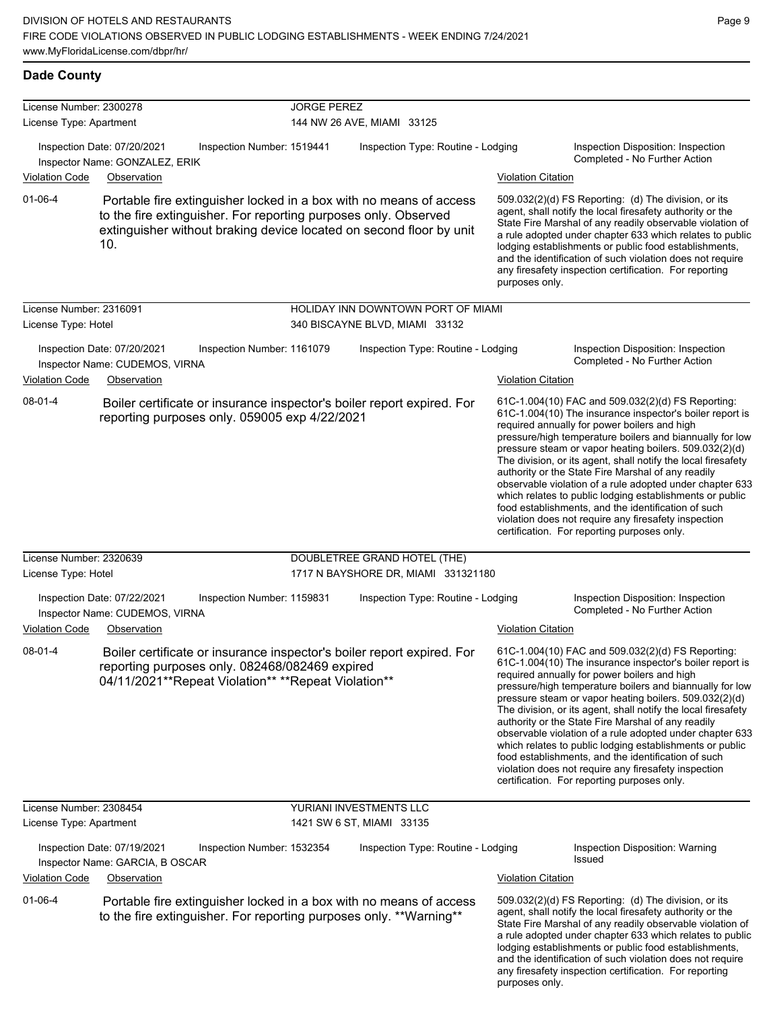**Dade County**

| License Number: 2300278                        |                                                                               |                                                                                                                                                                                                              | <b>JORGE PEREZ</b>                                                  |                           |                                                                                                                                                                                                                                                                                                                                                                                                                                                                                                                                                                                                                                                                                                  |  |  |  |
|------------------------------------------------|-------------------------------------------------------------------------------|--------------------------------------------------------------------------------------------------------------------------------------------------------------------------------------------------------------|---------------------------------------------------------------------|---------------------------|--------------------------------------------------------------------------------------------------------------------------------------------------------------------------------------------------------------------------------------------------------------------------------------------------------------------------------------------------------------------------------------------------------------------------------------------------------------------------------------------------------------------------------------------------------------------------------------------------------------------------------------------------------------------------------------------------|--|--|--|
| License Type: Apartment                        |                                                                               |                                                                                                                                                                                                              | 144 NW 26 AVE, MIAMI 33125                                          |                           |                                                                                                                                                                                                                                                                                                                                                                                                                                                                                                                                                                                                                                                                                                  |  |  |  |
| Violation Code                                 | Inspection Date: 07/20/2021<br>Inspector Name: GONZALEZ, ERIK<br>Observation  | Inspection Number: 1519441                                                                                                                                                                                   | Inspection Type: Routine - Lodging                                  | <b>Violation Citation</b> | Inspection Disposition: Inspection<br>Completed - No Further Action                                                                                                                                                                                                                                                                                                                                                                                                                                                                                                                                                                                                                              |  |  |  |
| $01 - 06 - 4$                                  | 10.                                                                           | Portable fire extinguisher locked in a box with no means of access<br>to the fire extinguisher. For reporting purposes only. Observed<br>extinguisher without braking device located on second floor by unit |                                                                     | purposes only.            | 509.032(2)(d) FS Reporting: (d) The division, or its<br>agent, shall notify the local firesafety authority or the<br>State Fire Marshal of any readily observable violation of<br>a rule adopted under chapter 633 which relates to public<br>lodging establishments or public food establishments,<br>and the identification of such violation does not require<br>any firesafety inspection certification. For reporting                                                                                                                                                                                                                                                                       |  |  |  |
| License Number: 2316091                        |                                                                               |                                                                                                                                                                                                              | HOLIDAY INN DOWNTOWN PORT OF MIAMI                                  |                           |                                                                                                                                                                                                                                                                                                                                                                                                                                                                                                                                                                                                                                                                                                  |  |  |  |
| License Type: Hotel                            |                                                                               |                                                                                                                                                                                                              | 340 BISCAYNE BLVD, MIAMI 33132                                      |                           |                                                                                                                                                                                                                                                                                                                                                                                                                                                                                                                                                                                                                                                                                                  |  |  |  |
| <b>Violation Code</b>                          | Inspection Date: 07/20/2021<br>Inspector Name: CUDEMOS, VIRNA<br>Observation  | Inspection Number: 1161079                                                                                                                                                                                   | Inspection Type: Routine - Lodging                                  | <b>Violation Citation</b> | Inspection Disposition: Inspection<br>Completed - No Further Action                                                                                                                                                                                                                                                                                                                                                                                                                                                                                                                                                                                                                              |  |  |  |
| $08 - 01 - 4$                                  |                                                                               | Boiler certificate or insurance inspector's boiler report expired. For<br>reporting purposes only. 059005 exp 4/22/2021                                                                                      |                                                                     |                           | 61C-1.004(10) FAC and 509.032(2)(d) FS Reporting:<br>61C-1.004(10) The insurance inspector's boiler report is<br>required annually for power boilers and high<br>pressure/high temperature boilers and biannually for low<br>pressure steam or vapor heating boilers. 509.032(2)(d)<br>The division, or its agent, shall notify the local firesafety<br>authority or the State Fire Marshal of any readily<br>observable violation of a rule adopted under chapter 633<br>which relates to public lodging establishments or public<br>food establishments, and the identification of such<br>violation does not require any firesafety inspection<br>certification. For reporting purposes only. |  |  |  |
| License Number: 2320639<br>License Type: Hotel |                                                                               |                                                                                                                                                                                                              | DOUBLETREE GRAND HOTEL (THE)<br>1717 N BAYSHORE DR, MIAMI 331321180 |                           |                                                                                                                                                                                                                                                                                                                                                                                                                                                                                                                                                                                                                                                                                                  |  |  |  |
| <b>Violation Code</b>                          | Inspection Date: 07/22/2021<br>Inspector Name: CUDEMOS, VIRNA<br>Observation  | Inspection Number: 1159831                                                                                                                                                                                   | Inspection Type: Routine - Lodging                                  | <b>Violation Citation</b> | Inspection Disposition: Inspection<br>Completed - No Further Action                                                                                                                                                                                                                                                                                                                                                                                                                                                                                                                                                                                                                              |  |  |  |
| $08 - 01 - 4$                                  |                                                                               | Boiler certificate or insurance inspector's boiler report expired. For<br>reporting purposes only. 082468/082469 expired<br>04/11/2021**Repeat Violation** **Repeat Violation**                              |                                                                     |                           | 61C-1.004(10) FAC and 509.032(2)(d) FS Reporting:<br>61C-1.004(10) The insurance inspector's boiler report is<br>required annually for power boilers and high<br>pressure/high temperature boilers and biannually for low<br>pressure steam or vapor heating boilers. 509.032(2)(d)<br>The division, or its agent, shall notify the local firesafety<br>authority or the State Fire Marshal of any readily<br>observable violation of a rule adopted under chapter 633<br>which relates to public lodging establishments or public<br>food establishments, and the identification of such<br>violation does not require any firesafety inspection<br>certification. For reporting purposes only. |  |  |  |
| License Number: 2308454                        |                                                                               |                                                                                                                                                                                                              | YURIANI INVESTMENTS LLC                                             |                           |                                                                                                                                                                                                                                                                                                                                                                                                                                                                                                                                                                                                                                                                                                  |  |  |  |
| License Type: Apartment<br>Violation Code      | Inspection Date: 07/19/2021<br>Inspector Name: GARCIA, B OSCAR<br>Observation | Inspection Number: 1532354                                                                                                                                                                                   | 1421 SW 6 ST, MIAMI 33135<br>Inspection Type: Routine - Lodging     | <b>Violation Citation</b> | Inspection Disposition: Warning<br>Issued                                                                                                                                                                                                                                                                                                                                                                                                                                                                                                                                                                                                                                                        |  |  |  |
| $01 - 06 - 4$                                  |                                                                               | Portable fire extinguisher locked in a box with no means of access<br>to the fire extinguisher. For reporting purposes only. **Warning**                                                                     |                                                                     | purposes only.            | 509.032(2)(d) FS Reporting: (d) The division, or its<br>agent, shall notify the local firesafety authority or the<br>State Fire Marshal of any readily observable violation of<br>a rule adopted under chapter 633 which relates to public<br>lodging establishments or public food establishments,<br>and the identification of such violation does not require<br>any firesafety inspection certification. For reporting                                                                                                                                                                                                                                                                       |  |  |  |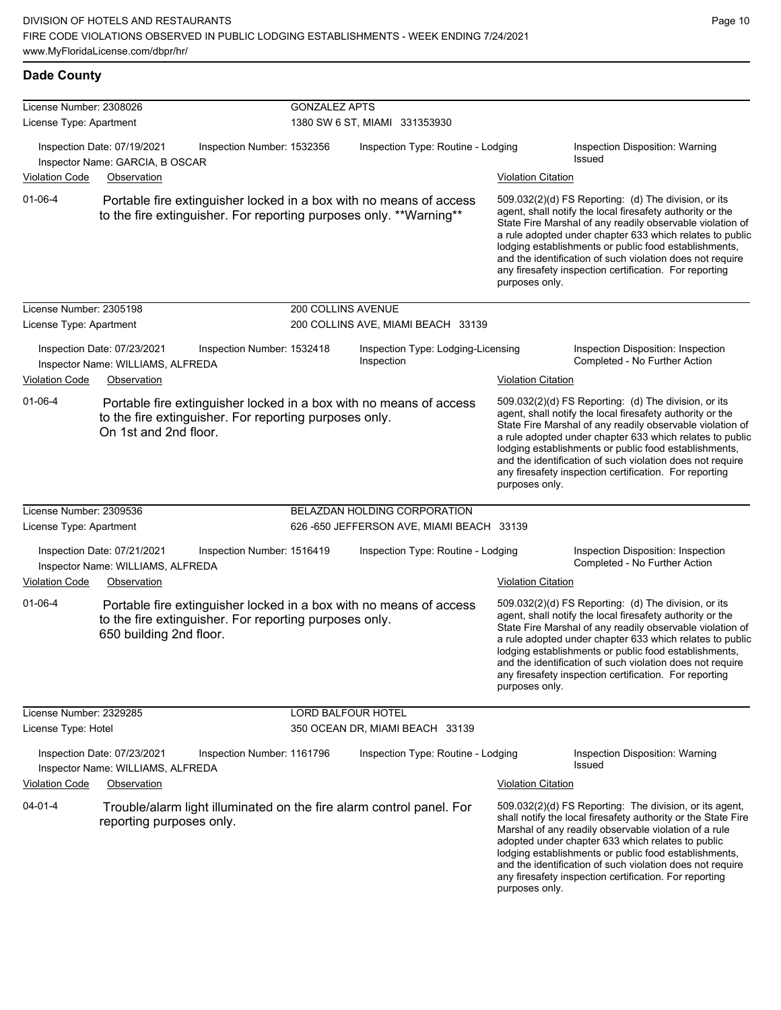| <b>Dade County</b>                                 |                                                                  |                                                        |                      |                                                                                                                                          |                           |                                                                                                                                                                                                                                                                                                                                                                                                                            |
|----------------------------------------------------|------------------------------------------------------------------|--------------------------------------------------------|----------------------|------------------------------------------------------------------------------------------------------------------------------------------|---------------------------|----------------------------------------------------------------------------------------------------------------------------------------------------------------------------------------------------------------------------------------------------------------------------------------------------------------------------------------------------------------------------------------------------------------------------|
| License Number: 2308026<br>License Type: Apartment |                                                                  |                                                        | <b>GONZALEZ APTS</b> | 1380 SW 6 ST, MIAMI 331353930                                                                                                            |                           |                                                                                                                                                                                                                                                                                                                                                                                                                            |
|                                                    | Inspection Date: 07/19/2021<br>Inspector Name: GARCIA, B OSCAR   | Inspection Number: 1532356                             |                      | Inspection Type: Routine - Lodging                                                                                                       |                           | Inspection Disposition: Warning<br><b>Issued</b>                                                                                                                                                                                                                                                                                                                                                                           |
| Violation Code                                     | Observation                                                      |                                                        |                      |                                                                                                                                          | <b>Violation Citation</b> |                                                                                                                                                                                                                                                                                                                                                                                                                            |
| $01 - 06 - 4$                                      |                                                                  |                                                        |                      | Portable fire extinguisher locked in a box with no means of access<br>to the fire extinguisher. For reporting purposes only. **Warning** | purposes only.            | 509.032(2)(d) FS Reporting: (d) The division, or its<br>agent, shall notify the local firesafety authority or the<br>State Fire Marshal of any readily observable violation of<br>a rule adopted under chapter 633 which relates to public<br>lodging establishments or public food establishments,<br>and the identification of such violation does not require<br>any firesafety inspection certification. For reporting |
| License Number: 2305198                            |                                                                  |                                                        | 200 COLLINS AVENUE   |                                                                                                                                          |                           |                                                                                                                                                                                                                                                                                                                                                                                                                            |
| License Type: Apartment                            |                                                                  |                                                        |                      | 200 COLLINS AVE, MIAMI BEACH 33139                                                                                                       |                           |                                                                                                                                                                                                                                                                                                                                                                                                                            |
|                                                    | Inspection Date: 07/23/2021<br>Inspector Name: WILLIAMS, ALFREDA | Inspection Number: 1532418                             |                      | Inspection Type: Lodging-Licensing<br>Inspection                                                                                         |                           | Inspection Disposition: Inspection<br>Completed - No Further Action                                                                                                                                                                                                                                                                                                                                                        |
| <b>Violation Code</b>                              | Observation                                                      |                                                        |                      |                                                                                                                                          | <b>Violation Citation</b> |                                                                                                                                                                                                                                                                                                                                                                                                                            |
| $01 - 06 - 4$                                      | On 1st and 2nd floor.                                            | to the fire extinguisher. For reporting purposes only. |                      | Portable fire extinguisher locked in a box with no means of access                                                                       | purposes only.            | 509.032(2)(d) FS Reporting: (d) The division, or its<br>agent, shall notify the local firesafety authority or the<br>State Fire Marshal of any readily observable violation of<br>a rule adopted under chapter 633 which relates to public<br>lodging establishments or public food establishments,<br>and the identification of such violation does not require<br>any firesafety inspection certification. For reporting |
| License Number: 2309536                            |                                                                  |                                                        |                      | BELAZDAN HOLDING CORPORATION                                                                                                             |                           |                                                                                                                                                                                                                                                                                                                                                                                                                            |
| License Type: Apartment                            |                                                                  |                                                        |                      | 626 -650 JEFFERSON AVE, MIAMI BEACH 33139                                                                                                |                           |                                                                                                                                                                                                                                                                                                                                                                                                                            |
|                                                    | Inspection Date: 07/21/2021<br>Inspector Name: WILLIAMS, ALFREDA | Inspection Number: 1516419                             |                      | Inspection Type: Routine - Lodging                                                                                                       |                           | Inspection Disposition: Inspection<br>Completed - No Further Action                                                                                                                                                                                                                                                                                                                                                        |
| <b>Violation Code</b>                              | Observation                                                      |                                                        |                      |                                                                                                                                          | <b>Violation Citation</b> |                                                                                                                                                                                                                                                                                                                                                                                                                            |
| $01 - 06 - 4$                                      | 650 building 2nd floor.                                          | to the fire extinguisher. For reporting purposes only. |                      | Portable fire extinguisher locked in a box with no means of access                                                                       | purposes only.            | 509.032(2)(d) FS Reporting: (d) The division, or its<br>agent, shall notify the local firesafety authority or the<br>State Fire Marshal of any readily observable violation of<br>a rule adopted under chapter 633 which relates to public<br>lodging establishments or public food establishments,<br>and the identification of such violation does not require<br>any firesafety inspection certification. For reporting |
| License Number: 2329285                            |                                                                  |                                                        | LORD BALFOUR HOTEL   |                                                                                                                                          |                           |                                                                                                                                                                                                                                                                                                                                                                                                                            |
| License Type: Hotel                                |                                                                  |                                                        |                      | 350 OCEAN DR, MIAMI BEACH 33139                                                                                                          |                           |                                                                                                                                                                                                                                                                                                                                                                                                                            |
|                                                    | Inspection Date: 07/23/2021<br>Inspector Name: WILLIAMS, ALFREDA | Inspection Number: 1161796                             |                      | Inspection Type: Routine - Lodging                                                                                                       |                           | Inspection Disposition: Warning<br><b>Issued</b>                                                                                                                                                                                                                                                                                                                                                                           |
| <b>Violation Code</b>                              | Observation                                                      |                                                        |                      |                                                                                                                                          | <b>Violation Citation</b> |                                                                                                                                                                                                                                                                                                                                                                                                                            |
| $04 - 01 - 4$                                      | reporting purposes only.                                         |                                                        |                      | Trouble/alarm light illuminated on the fire alarm control panel. For                                                                     | purposes only.            | 509.032(2)(d) FS Reporting: The division, or its agent,<br>shall notify the local firesafety authority or the State Fire<br>Marshal of any readily observable violation of a rule<br>adopted under chapter 633 which relates to public<br>lodging establishments or public food establishments,<br>and the identification of such violation does not require<br>any firesafety inspection certification. For reporting     |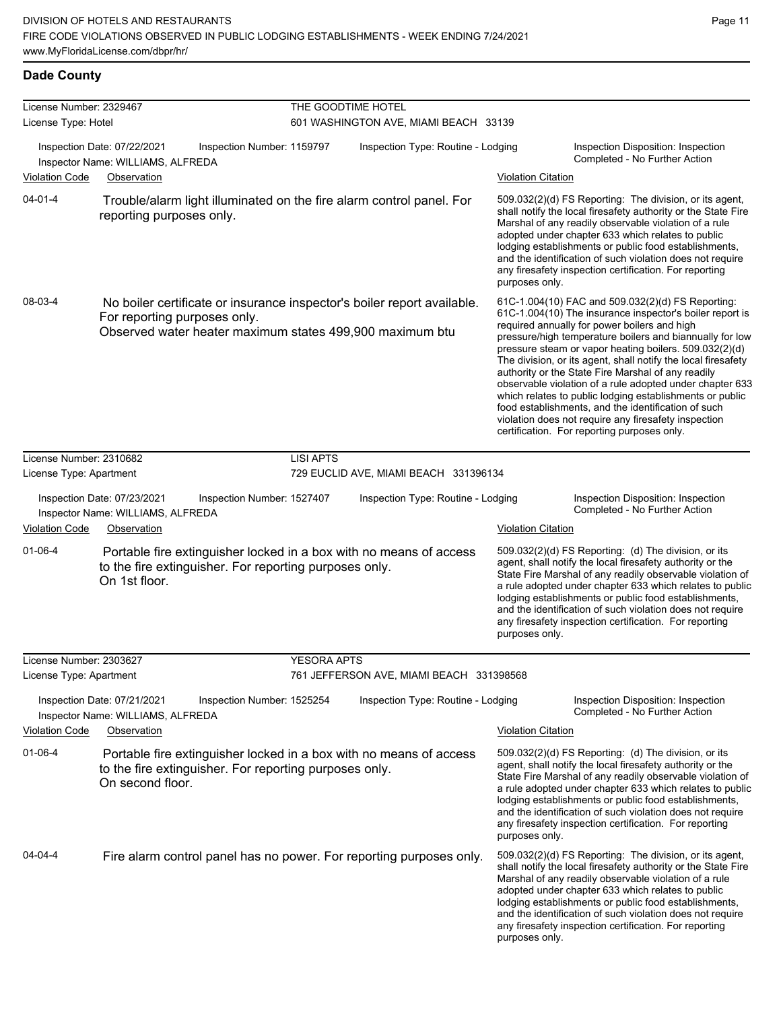#### **Dade County**

| License Number: 2329467                                                                             |                                                                                                                                                  |                                                                         | THE GOODTIME HOTEL                       |                                                                                                                                                                                                                                                                                                                                                                                                                                                                                                                                                                                                                                                                                                  |                                                                                                                                                                                                                                                                                                                                                                                                                            |  |  |  |
|-----------------------------------------------------------------------------------------------------|--------------------------------------------------------------------------------------------------------------------------------------------------|-------------------------------------------------------------------------|------------------------------------------|--------------------------------------------------------------------------------------------------------------------------------------------------------------------------------------------------------------------------------------------------------------------------------------------------------------------------------------------------------------------------------------------------------------------------------------------------------------------------------------------------------------------------------------------------------------------------------------------------------------------------------------------------------------------------------------------------|----------------------------------------------------------------------------------------------------------------------------------------------------------------------------------------------------------------------------------------------------------------------------------------------------------------------------------------------------------------------------------------------------------------------------|--|--|--|
| License Type: Hotel                                                                                 |                                                                                                                                                  | 601 WASHINGTON AVE, MIAMI BEACH 33139                                   |                                          |                                                                                                                                                                                                                                                                                                                                                                                                                                                                                                                                                                                                                                                                                                  |                                                                                                                                                                                                                                                                                                                                                                                                                            |  |  |  |
|                                                                                                     | Inspection Date: 07/22/2021<br>Inspection Number: 1159797<br>Inspector Name: WILLIAMS, ALFREDA                                                   |                                                                         | Inspection Type: Routine - Lodging       |                                                                                                                                                                                                                                                                                                                                                                                                                                                                                                                                                                                                                                                                                                  | Inspection Disposition: Inspection<br>Completed - No Further Action                                                                                                                                                                                                                                                                                                                                                        |  |  |  |
| <b>Violation Code</b>                                                                               | Observation                                                                                                                                      |                                                                         |                                          | <b>Violation Citation</b>                                                                                                                                                                                                                                                                                                                                                                                                                                                                                                                                                                                                                                                                        |                                                                                                                                                                                                                                                                                                                                                                                                                            |  |  |  |
| $04 - 01 - 4$                                                                                       | Trouble/alarm light illuminated on the fire alarm control panel. For<br>reporting purposes only.                                                 |                                                                         |                                          | purposes only.                                                                                                                                                                                                                                                                                                                                                                                                                                                                                                                                                                                                                                                                                   | 509.032(2)(d) FS Reporting: The division, or its agent,<br>shall notify the local firesafety authority or the State Fire<br>Marshal of any readily observable violation of a rule<br>adopted under chapter 633 which relates to public<br>lodging establishments or public food establishments,<br>and the identification of such violation does not require<br>any firesafety inspection certification. For reporting     |  |  |  |
| 08-03-4<br>For reporting purposes only.<br>Observed water heater maximum states 499,900 maximum btu |                                                                                                                                                  | No boiler certificate or insurance inspector's boiler report available. |                                          | 61C-1.004(10) FAC and 509.032(2)(d) FS Reporting:<br>61C-1.004(10) The insurance inspector's boiler report is<br>required annually for power boilers and high<br>pressure/high temperature boilers and biannually for low<br>pressure steam or vapor heating boilers. 509.032(2)(d)<br>The division, or its agent, shall notify the local firesafety<br>authority or the State Fire Marshal of any readily<br>observable violation of a rule adopted under chapter 633<br>which relates to public lodging establishments or public<br>food establishments, and the identification of such<br>violation does not require any firesafety inspection<br>certification. For reporting purposes only. |                                                                                                                                                                                                                                                                                                                                                                                                                            |  |  |  |
| License Number: 2310682                                                                             |                                                                                                                                                  | <b>LISI APTS</b>                                                        |                                          |                                                                                                                                                                                                                                                                                                                                                                                                                                                                                                                                                                                                                                                                                                  |                                                                                                                                                                                                                                                                                                                                                                                                                            |  |  |  |
| License Type: Apartment                                                                             |                                                                                                                                                  | 729 EUCLID AVE, MIAMI BEACH 331396134                                   |                                          |                                                                                                                                                                                                                                                                                                                                                                                                                                                                                                                                                                                                                                                                                                  |                                                                                                                                                                                                                                                                                                                                                                                                                            |  |  |  |
|                                                                                                     | Inspection Date: 07/23/2021<br>Inspection Number: 1527407<br>Inspector Name: WILLIAMS, ALFREDA                                                   |                                                                         | Inspection Type: Routine - Lodging       |                                                                                                                                                                                                                                                                                                                                                                                                                                                                                                                                                                                                                                                                                                  | Inspection Disposition: Inspection<br>Completed - No Further Action                                                                                                                                                                                                                                                                                                                                                        |  |  |  |
| <b>Violation Code</b>                                                                               | Observation                                                                                                                                      |                                                                         |                                          | <b>Violation Citation</b>                                                                                                                                                                                                                                                                                                                                                                                                                                                                                                                                                                                                                                                                        |                                                                                                                                                                                                                                                                                                                                                                                                                            |  |  |  |
| $01 - 06 - 4$                                                                                       | Portable fire extinguisher locked in a box with no means of access<br>to the fire extinguisher. For reporting purposes only.<br>On 1st floor.    |                                                                         |                                          | purposes only.                                                                                                                                                                                                                                                                                                                                                                                                                                                                                                                                                                                                                                                                                   | 509.032(2)(d) FS Reporting: (d) The division, or its<br>agent, shall notify the local firesafety authority or the<br>State Fire Marshal of any readily observable violation of<br>a rule adopted under chapter 633 which relates to public<br>lodging establishments or public food establishments,<br>and the identification of such violation does not require<br>any firesafety inspection certification. For reporting |  |  |  |
| License Number: 2303627                                                                             |                                                                                                                                                  | YESORA APTS                                                             |                                          |                                                                                                                                                                                                                                                                                                                                                                                                                                                                                                                                                                                                                                                                                                  |                                                                                                                                                                                                                                                                                                                                                                                                                            |  |  |  |
| License Type: Apartment                                                                             |                                                                                                                                                  |                                                                         | 761 JEFFERSON AVE, MIAMI BEACH 331398568 |                                                                                                                                                                                                                                                                                                                                                                                                                                                                                                                                                                                                                                                                                                  |                                                                                                                                                                                                                                                                                                                                                                                                                            |  |  |  |
|                                                                                                     | Inspection Date: 07/21/2021<br>Inspection Number: 1525254<br>Inspector Name: WILLIAMS, ALFREDA                                                   |                                                                         | Inspection Type: Routine - Lodging       |                                                                                                                                                                                                                                                                                                                                                                                                                                                                                                                                                                                                                                                                                                  | Inspection Disposition: Inspection<br>Completed - No Further Action                                                                                                                                                                                                                                                                                                                                                        |  |  |  |
| <b>Violation Code</b>                                                                               | Observation                                                                                                                                      |                                                                         |                                          | <b>Violation Citation</b>                                                                                                                                                                                                                                                                                                                                                                                                                                                                                                                                                                                                                                                                        |                                                                                                                                                                                                                                                                                                                                                                                                                            |  |  |  |
| 01-06-4                                                                                             | Portable fire extinguisher locked in a box with no means of access<br>to the fire extinguisher. For reporting purposes only.<br>On second floor. |                                                                         |                                          | purposes only.                                                                                                                                                                                                                                                                                                                                                                                                                                                                                                                                                                                                                                                                                   | 509.032(2)(d) FS Reporting: (d) The division, or its<br>agent, shall notify the local firesafety authority or the<br>State Fire Marshal of any readily observable violation of<br>a rule adopted under chapter 633 which relates to public<br>lodging establishments or public food establishments,<br>and the identification of such violation does not require<br>any firesafety inspection certification. For reporting |  |  |  |
| 04-04-4                                                                                             | Fire alarm control panel has no power. For reporting purposes only.                                                                              |                                                                         |                                          | purposes only.                                                                                                                                                                                                                                                                                                                                                                                                                                                                                                                                                                                                                                                                                   | 509.032(2)(d) FS Reporting: The division, or its agent,<br>shall notify the local firesafety authority or the State Fire<br>Marshal of any readily observable violation of a rule<br>adopted under chapter 633 which relates to public<br>lodging establishments or public food establishments,<br>and the identification of such violation does not require<br>any firesafety inspection certification. For reporting     |  |  |  |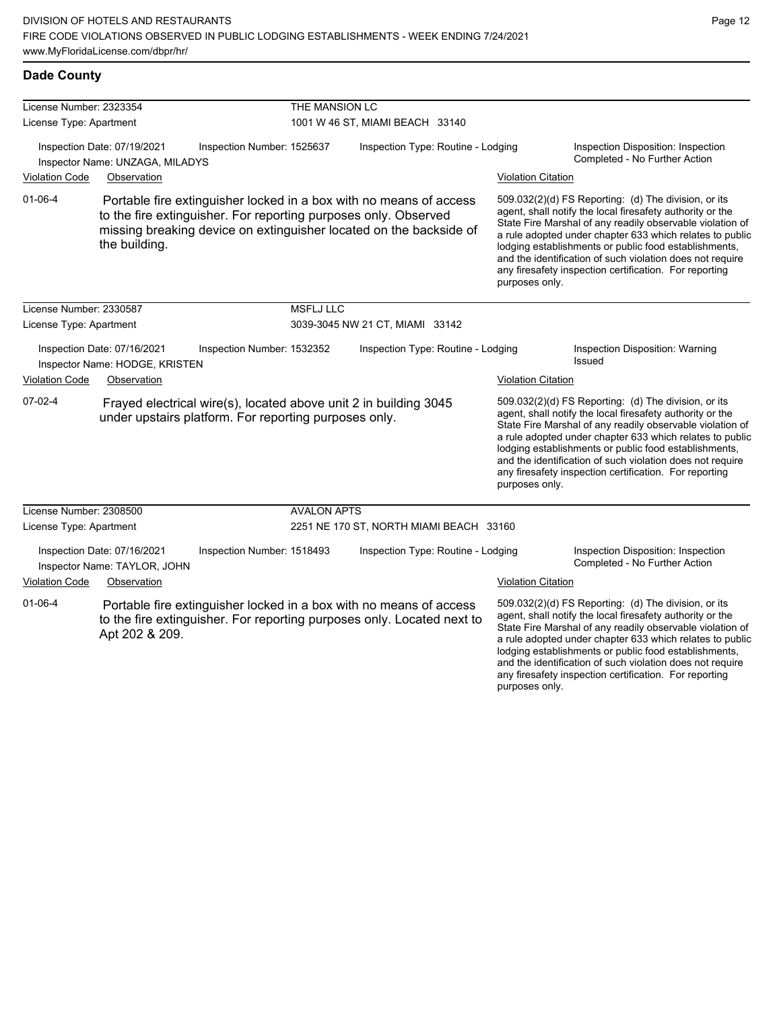any firesafety inspection certification. For reporting

| <b>Dade County</b> |
|--------------------|
|                    |

| License Number: 2323354 |                                                                |                                                                 | THE MANSION LC                  |                                                                                                                                              |                           |                                                                                                                                                                                                                                                                                                                                                                                                                            |  |
|-------------------------|----------------------------------------------------------------|-----------------------------------------------------------------|---------------------------------|----------------------------------------------------------------------------------------------------------------------------------------------|---------------------------|----------------------------------------------------------------------------------------------------------------------------------------------------------------------------------------------------------------------------------------------------------------------------------------------------------------------------------------------------------------------------------------------------------------------------|--|
| License Type: Apartment |                                                                |                                                                 | 1001 W 46 ST, MIAMI BEACH 33140 |                                                                                                                                              |                           |                                                                                                                                                                                                                                                                                                                                                                                                                            |  |
|                         | Inspection Date: 07/19/2021<br>Inspector Name: UNZAGA, MILADYS | Inspection Number: 1525637                                      |                                 | Inspection Type: Routine - Lodging                                                                                                           |                           | Inspection Disposition: Inspection<br>Completed - No Further Action                                                                                                                                                                                                                                                                                                                                                        |  |
| <b>Violation Code</b>   | Observation                                                    |                                                                 |                                 |                                                                                                                                              | <b>Violation Citation</b> |                                                                                                                                                                                                                                                                                                                                                                                                                            |  |
| $01 - 06 - 4$           | the building.                                                  | to the fire extinguisher. For reporting purposes only. Observed |                                 | Portable fire extinguisher locked in a box with no means of access<br>missing breaking device on extinguisher located on the backside of     | purposes only.            | 509.032(2)(d) FS Reporting: (d) The division, or its<br>agent, shall notify the local firesafety authority or the<br>State Fire Marshal of any readily observable violation of<br>a rule adopted under chapter 633 which relates to public<br>lodging establishments or public food establishments,<br>and the identification of such violation does not require<br>any firesafety inspection certification. For reporting |  |
| License Number: 2330587 |                                                                |                                                                 | <b>MSFLJ LLC</b>                |                                                                                                                                              |                           |                                                                                                                                                                                                                                                                                                                                                                                                                            |  |
| License Type: Apartment |                                                                |                                                                 |                                 | 3039-3045 NW 21 CT, MIAMI 33142                                                                                                              |                           |                                                                                                                                                                                                                                                                                                                                                                                                                            |  |
|                         | Inspection Date: 07/16/2021<br>Inspector Name: HODGE, KRISTEN  | Inspection Number: 1532352                                      |                                 | Inspection Type: Routine - Lodging                                                                                                           |                           | Inspection Disposition: Warning<br>Issued                                                                                                                                                                                                                                                                                                                                                                                  |  |
| <b>Violation Code</b>   | Observation                                                    |                                                                 |                                 |                                                                                                                                              | <b>Violation Citation</b> |                                                                                                                                                                                                                                                                                                                                                                                                                            |  |
| $07-02-4$               |                                                                | under upstairs platform. For reporting purposes only.           |                                 | Frayed electrical wire(s), located above unit 2 in building 3045                                                                             | purposes only.            | 509.032(2)(d) FS Reporting: (d) The division, or its<br>agent, shall notify the local firesafety authority or the<br>State Fire Marshal of any readily observable violation of<br>a rule adopted under chapter 633 which relates to public<br>lodging establishments or public food establishments,<br>and the identification of such violation does not require<br>any firesafety inspection certification. For reporting |  |
| License Number: 2308500 |                                                                |                                                                 | <b>AVALON APTS</b>              |                                                                                                                                              |                           |                                                                                                                                                                                                                                                                                                                                                                                                                            |  |
| License Type: Apartment |                                                                |                                                                 |                                 | 2251 NE 170 ST, NORTH MIAMI BEACH 33160                                                                                                      |                           |                                                                                                                                                                                                                                                                                                                                                                                                                            |  |
|                         | Inspection Date: 07/16/2021<br>Inspector Name: TAYLOR, JOHN    | Inspection Number: 1518493                                      |                                 | Inspection Type: Routine - Lodging                                                                                                           |                           | Inspection Disposition: Inspection<br>Completed - No Further Action                                                                                                                                                                                                                                                                                                                                                        |  |
| <b>Violation Code</b>   | Observation                                                    |                                                                 |                                 |                                                                                                                                              | <b>Violation Citation</b> |                                                                                                                                                                                                                                                                                                                                                                                                                            |  |
| $01 - 06 - 4$           | Apt 202 & 209.                                                 |                                                                 |                                 | Portable fire extinguisher locked in a box with no means of access<br>to the fire extinguisher. For reporting purposes only. Located next to |                           | 509.032(2)(d) FS Reporting: (d) The division, or its<br>agent, shall notify the local firesafety authority or the<br>State Fire Marshal of any readily observable violation of<br>a rule adopted under chapter 633 which relates to public<br>lodging establishments or public food establishments,<br>and the identification of such violation does not require                                                           |  |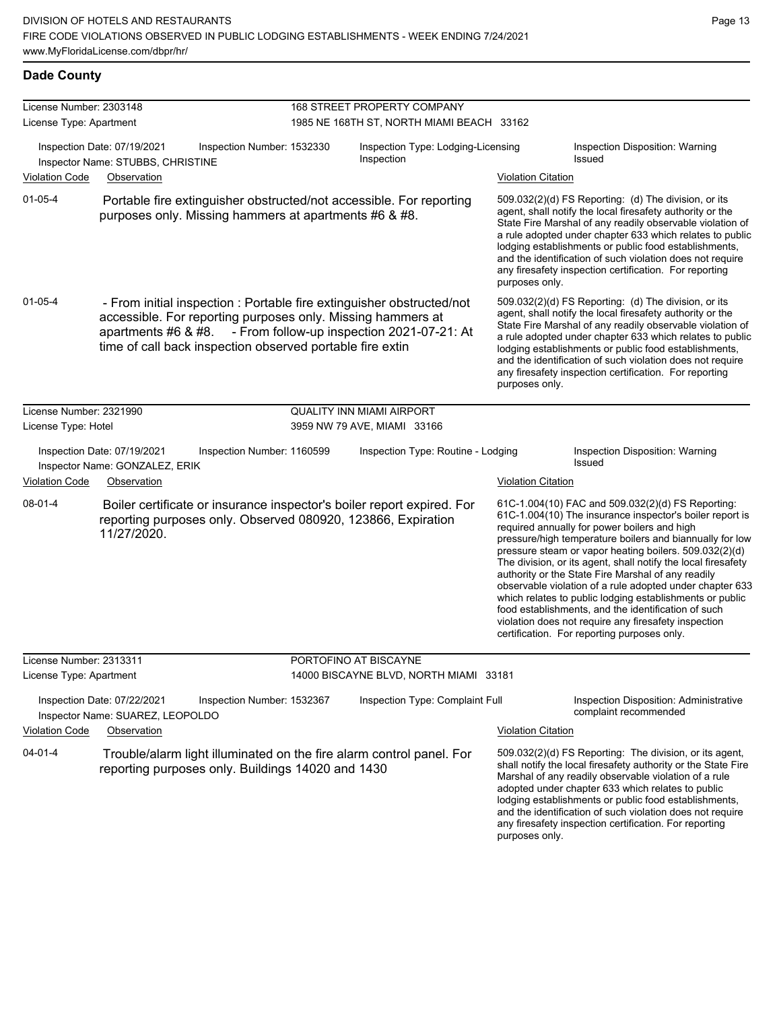| <b>Dade County</b>      |                                                                                                                                                                                                                          |                             |                                                  |                           |                                                                                                                                                                                                                                                                                                                                                                                                                                                                                                                                                                                                                                                                                                  |  |  |
|-------------------------|--------------------------------------------------------------------------------------------------------------------------------------------------------------------------------------------------------------------------|-----------------------------|--------------------------------------------------|---------------------------|--------------------------------------------------------------------------------------------------------------------------------------------------------------------------------------------------------------------------------------------------------------------------------------------------------------------------------------------------------------------------------------------------------------------------------------------------------------------------------------------------------------------------------------------------------------------------------------------------------------------------------------------------------------------------------------------------|--|--|
| License Number: 2303148 |                                                                                                                                                                                                                          | 168 STREET PROPERTY COMPANY |                                                  |                           |                                                                                                                                                                                                                                                                                                                                                                                                                                                                                                                                                                                                                                                                                                  |  |  |
| License Type: Apartment |                                                                                                                                                                                                                          |                             | 1985 NE 168TH ST, NORTH MIAMI BEACH 33162        |                           |                                                                                                                                                                                                                                                                                                                                                                                                                                                                                                                                                                                                                                                                                                  |  |  |
|                         | Inspection Date: 07/19/2021<br>Inspection Number: 1532330<br>Inspector Name: STUBBS, CHRISTINE                                                                                                                           |                             | Inspection Type: Lodging-Licensing<br>Inspection |                           | Inspection Disposition: Warning<br><b>Issued</b>                                                                                                                                                                                                                                                                                                                                                                                                                                                                                                                                                                                                                                                 |  |  |
| <b>Violation Code</b>   | Observation                                                                                                                                                                                                              |                             |                                                  | <b>Violation Citation</b> |                                                                                                                                                                                                                                                                                                                                                                                                                                                                                                                                                                                                                                                                                                  |  |  |
| $01 - 05 - 4$           | Portable fire extinguisher obstructed/not accessible. For reporting<br>purposes only. Missing hammers at apartments #6 & #8.                                                                                             |                             |                                                  | purposes only.            | 509.032(2)(d) FS Reporting: (d) The division, or its<br>agent, shall notify the local firesafety authority or the<br>State Fire Marshal of any readily observable violation of<br>a rule adopted under chapter 633 which relates to public<br>lodging establishments or public food establishments,<br>and the identification of such violation does not require<br>any firesafety inspection certification. For reporting                                                                                                                                                                                                                                                                       |  |  |
| $01 - 05 - 4$           | - From initial inspection : Portable fire extinguisher obstructed/not<br>accessible. For reporting purposes only. Missing hammers at<br>apartments #6 & #8.<br>time of call back inspection observed portable fire extin |                             | - From follow-up inspection 2021-07-21: At       | purposes only.            | 509.032(2)(d) FS Reporting: (d) The division, or its<br>agent, shall notify the local firesafety authority or the<br>State Fire Marshal of any readily observable violation of<br>a rule adopted under chapter 633 which relates to public<br>lodging establishments or public food establishments,<br>and the identification of such violation does not require<br>any firesafety inspection certification. For reporting                                                                                                                                                                                                                                                                       |  |  |
| License Number: 2321990 |                                                                                                                                                                                                                          |                             | <b>QUALITY INN MIAMI AIRPORT</b>                 |                           |                                                                                                                                                                                                                                                                                                                                                                                                                                                                                                                                                                                                                                                                                                  |  |  |
| License Type: Hotel     |                                                                                                                                                                                                                          |                             | 3959 NW 79 AVE, MIAMI 33166                      |                           |                                                                                                                                                                                                                                                                                                                                                                                                                                                                                                                                                                                                                                                                                                  |  |  |
|                         | Inspection Date: 07/19/2021<br>Inspection Number: 1160599<br>Inspector Name: GONZALEZ, ERIK                                                                                                                              |                             | Inspection Type: Routine - Lodging               |                           | Inspection Disposition: Warning<br><b>Issued</b>                                                                                                                                                                                                                                                                                                                                                                                                                                                                                                                                                                                                                                                 |  |  |
| <b>Violation Code</b>   | Observation                                                                                                                                                                                                              |                             |                                                  | <b>Violation Citation</b> |                                                                                                                                                                                                                                                                                                                                                                                                                                                                                                                                                                                                                                                                                                  |  |  |
| 08-01-4                 | Boiler certificate or insurance inspector's boiler report expired. For<br>reporting purposes only. Observed 080920, 123866, Expiration<br>11/27/2020.                                                                    |                             |                                                  |                           | 61C-1.004(10) FAC and 509.032(2)(d) FS Reporting:<br>61C-1.004(10) The insurance inspector's boiler report is<br>required annually for power boilers and high<br>pressure/high temperature boilers and biannually for low<br>pressure steam or vapor heating boilers. 509.032(2)(d)<br>The division, or its agent, shall notify the local firesafety<br>authority or the State Fire Marshal of any readily<br>observable violation of a rule adopted under chapter 633<br>which relates to public lodging establishments or public<br>food establishments, and the identification of such<br>violation does not require any firesafety inspection<br>certification. For reporting purposes only. |  |  |
| License Number: 2313311 |                                                                                                                                                                                                                          |                             | PORTOFINO AT BISCAYNE                            |                           |                                                                                                                                                                                                                                                                                                                                                                                                                                                                                                                                                                                                                                                                                                  |  |  |
| License Type: Apartment |                                                                                                                                                                                                                          |                             | 14000 BISCAYNE BLVD, NORTH MIAMI 33181           |                           |                                                                                                                                                                                                                                                                                                                                                                                                                                                                                                                                                                                                                                                                                                  |  |  |
|                         | Inspection Date: 07/22/2021<br>Inspection Number: 1532367<br>Inspector Name: SUAREZ, LEOPOLDO                                                                                                                            |                             | Inspection Type: Complaint Full                  |                           | Inspection Disposition: Administrative<br>complaint recommended                                                                                                                                                                                                                                                                                                                                                                                                                                                                                                                                                                                                                                  |  |  |
| <b>Violation Code</b>   | Observation                                                                                                                                                                                                              |                             |                                                  | <b>Violation Citation</b> |                                                                                                                                                                                                                                                                                                                                                                                                                                                                                                                                                                                                                                                                                                  |  |  |
| $04 - 01 - 4$           | Trouble/alarm light illuminated on the fire alarm control panel. For<br>reporting purposes only. Buildings 14020 and 1430                                                                                                |                             |                                                  | purposes only.            | 509.032(2)(d) FS Reporting: The division, or its agent,<br>shall notify the local firesafety authority or the State Fire<br>Marshal of any readily observable violation of a rule<br>adopted under chapter 633 which relates to public<br>lodging establishments or public food establishments,<br>and the identification of such violation does not require<br>any firesafety inspection certification. For reporting                                                                                                                                                                                                                                                                           |  |  |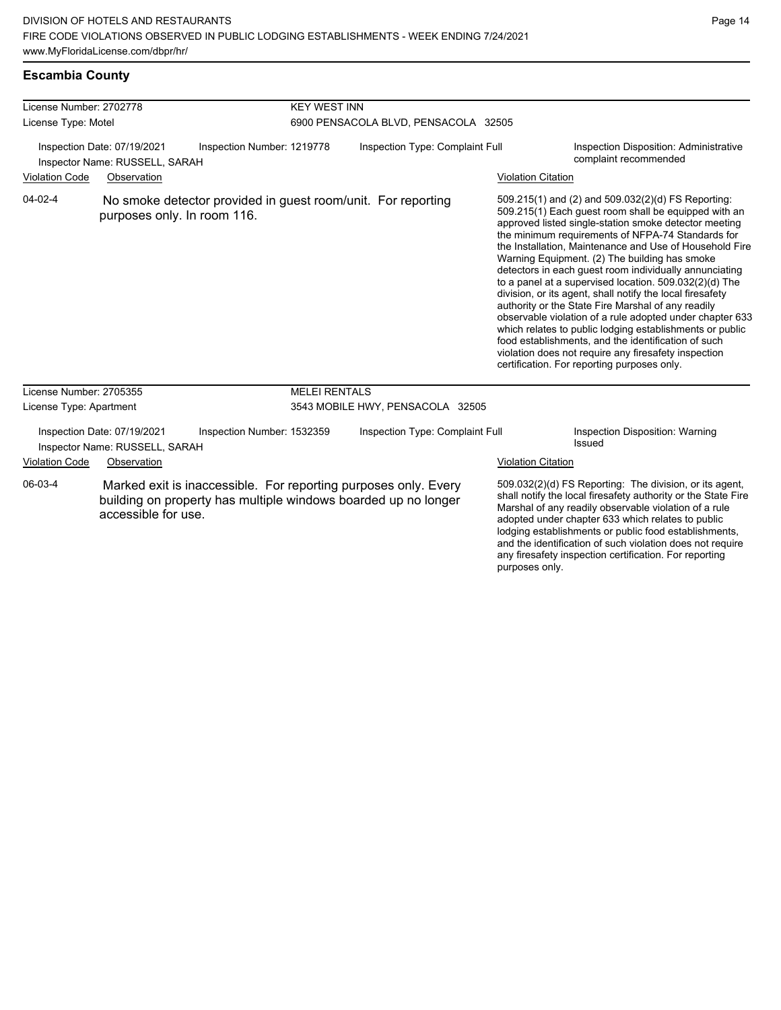# **Escambia County**

| License Number: 2702778                                       |                                                               |                                                              | <b>KEY WEST INN</b>                  |                                                                                                                                   |                           |                                                                                                                                                                                                                                                                                                                                                                                                                                                                                                                                                                                                                                                                                                                                                                                                                                                                   |
|---------------------------------------------------------------|---------------------------------------------------------------|--------------------------------------------------------------|--------------------------------------|-----------------------------------------------------------------------------------------------------------------------------------|---------------------------|-------------------------------------------------------------------------------------------------------------------------------------------------------------------------------------------------------------------------------------------------------------------------------------------------------------------------------------------------------------------------------------------------------------------------------------------------------------------------------------------------------------------------------------------------------------------------------------------------------------------------------------------------------------------------------------------------------------------------------------------------------------------------------------------------------------------------------------------------------------------|
| License Type: Motel                                           |                                                               |                                                              | 6900 PENSACOLA BLVD, PENSACOLA 32505 |                                                                                                                                   |                           |                                                                                                                                                                                                                                                                                                                                                                                                                                                                                                                                                                                                                                                                                                                                                                                                                                                                   |
| Inspection Date: 07/19/2021<br>Inspector Name: RUSSELL, SARAH |                                                               | Inspection Number: 1219778                                   | Inspection Type: Complaint Full      |                                                                                                                                   |                           | Inspection Disposition: Administrative<br>complaint recommended                                                                                                                                                                                                                                                                                                                                                                                                                                                                                                                                                                                                                                                                                                                                                                                                   |
| <b>Violation Code</b>                                         | Observation                                                   |                                                              |                                      |                                                                                                                                   | <b>Violation Citation</b> |                                                                                                                                                                                                                                                                                                                                                                                                                                                                                                                                                                                                                                                                                                                                                                                                                                                                   |
| $04 - 02 - 4$                                                 | purposes only. In room 116.                                   | No smoke detector provided in guest room/unit. For reporting |                                      |                                                                                                                                   |                           | 509.215(1) and (2) and 509.032(2)(d) FS Reporting:<br>509.215(1) Each guest room shall be equipped with an<br>approved listed single-station smoke detector meeting<br>the minimum requirements of NFPA-74 Standards for<br>the Installation, Maintenance and Use of Household Fire<br>Warning Equipment. (2) The building has smoke<br>detectors in each guest room individually annunciating<br>to a panel at a supervised location. 509.032(2)(d) The<br>division, or its agent, shall notify the local firesafety<br>authority or the State Fire Marshal of any readily<br>observable violation of a rule adopted under chapter 633<br>which relates to public lodging establishments or public<br>food establishments, and the identification of such<br>violation does not require any firesafety inspection<br>certification. For reporting purposes only. |
| License Number: 2705355                                       |                                                               |                                                              | <b>MELEI RENTALS</b>                 |                                                                                                                                   |                           |                                                                                                                                                                                                                                                                                                                                                                                                                                                                                                                                                                                                                                                                                                                                                                                                                                                                   |
| License Type: Apartment                                       |                                                               |                                                              |                                      | 3543 MOBILE HWY, PENSACOLA 32505                                                                                                  |                           |                                                                                                                                                                                                                                                                                                                                                                                                                                                                                                                                                                                                                                                                                                                                                                                                                                                                   |
|                                                               | Inspection Date: 07/19/2021<br>Inspector Name: RUSSELL, SARAH | Inspection Number: 1532359                                   |                                      | Inspection Type: Complaint Full                                                                                                   |                           | Inspection Disposition: Warning<br>Issued                                                                                                                                                                                                                                                                                                                                                                                                                                                                                                                                                                                                                                                                                                                                                                                                                         |
| <b>Violation Code</b>                                         | Observation                                                   |                                                              |                                      |                                                                                                                                   | <b>Violation Citation</b> |                                                                                                                                                                                                                                                                                                                                                                                                                                                                                                                                                                                                                                                                                                                                                                                                                                                                   |
| 06-03-4                                                       | accessible for use.                                           |                                                              |                                      | Marked exit is inaccessible. For reporting purposes only. Every<br>building on property has multiple windows boarded up no longer | purposes only.            | 509.032(2)(d) FS Reporting: The division, or its agent,<br>shall notify the local firesafety authority or the State Fire<br>Marshal of any readily observable violation of a rule<br>adopted under chapter 633 which relates to public<br>lodging establishments or public food establishments,<br>and the identification of such violation does not require<br>any firesafety inspection certification. For reporting                                                                                                                                                                                                                                                                                                                                                                                                                                            |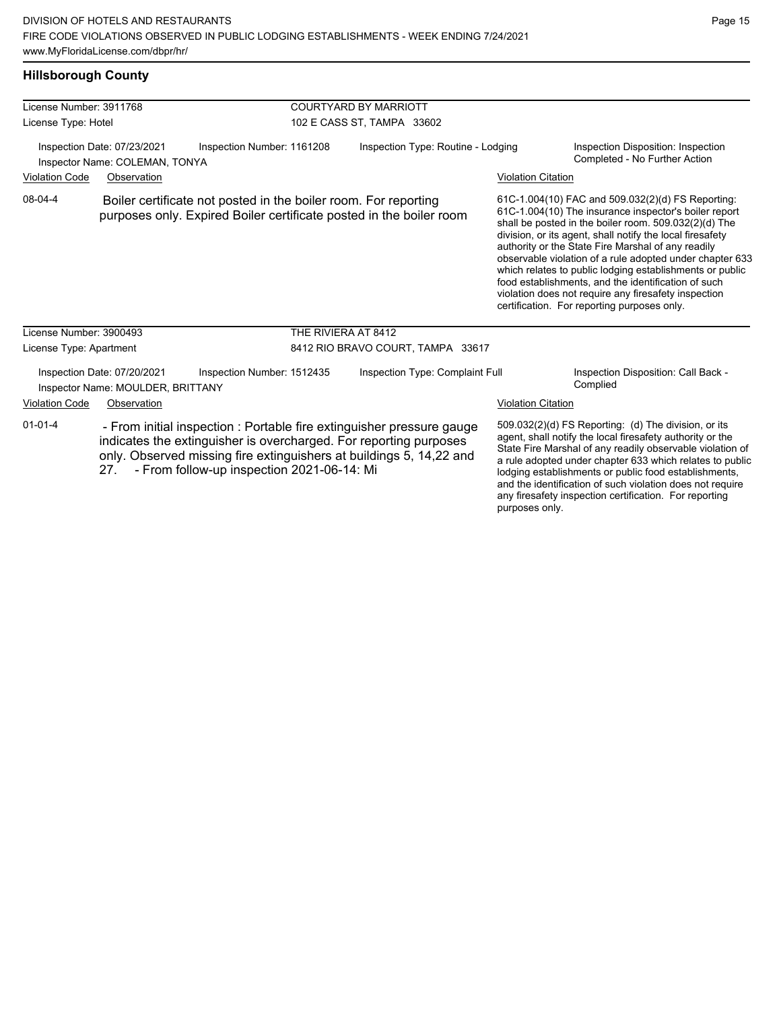#### **Hillsborough County**

| License Number: 3911768                                       |                                                                  |                                                                                                                                                                                                                                                                 | <b>COURTYARD BY MARRIOTT</b>       |                           |                                                                                                                                                                                                                                                                                                                                                                                                                                                                                                                                                                              |  |  |
|---------------------------------------------------------------|------------------------------------------------------------------|-----------------------------------------------------------------------------------------------------------------------------------------------------------------------------------------------------------------------------------------------------------------|------------------------------------|---------------------------|------------------------------------------------------------------------------------------------------------------------------------------------------------------------------------------------------------------------------------------------------------------------------------------------------------------------------------------------------------------------------------------------------------------------------------------------------------------------------------------------------------------------------------------------------------------------------|--|--|
| License Type: Hotel                                           |                                                                  |                                                                                                                                                                                                                                                                 | 102 E CASS ST, TAMPA 33602         |                           |                                                                                                                                                                                                                                                                                                                                                                                                                                                                                                                                                                              |  |  |
| Inspection Date: 07/23/2021<br>Inspector Name: COLEMAN, TONYA |                                                                  | Inspection Number: 1161208                                                                                                                                                                                                                                      | Inspection Type: Routine - Lodging |                           | Inspection Disposition: Inspection<br>Completed - No Further Action                                                                                                                                                                                                                                                                                                                                                                                                                                                                                                          |  |  |
| <b>Violation Code</b>                                         | Observation                                                      |                                                                                                                                                                                                                                                                 |                                    | <b>Violation Citation</b> |                                                                                                                                                                                                                                                                                                                                                                                                                                                                                                                                                                              |  |  |
| 08-04-4                                                       |                                                                  | Boiler certificate not posted in the boiler room. For reporting<br>purposes only. Expired Boiler certificate posted in the boiler room                                                                                                                          |                                    |                           | 61C-1.004(10) FAC and 509.032(2)(d) FS Reporting:<br>61C-1.004(10) The insurance inspector's boiler report<br>shall be posted in the boiler room. 509.032(2)(d) The<br>division, or its agent, shall notify the local firesafety<br>authority or the State Fire Marshal of any readily<br>observable violation of a rule adopted under chapter 633<br>which relates to public lodging establishments or public<br>food establishments, and the identification of such<br>violation does not require any firesafety inspection<br>certification. For reporting purposes only. |  |  |
| License Number: 3900493                                       |                                                                  | THE RIVIERA AT 8412                                                                                                                                                                                                                                             |                                    |                           |                                                                                                                                                                                                                                                                                                                                                                                                                                                                                                                                                                              |  |  |
| License Type: Apartment                                       |                                                                  |                                                                                                                                                                                                                                                                 | 8412 RIO BRAVO COURT, TAMPA 33617  |                           |                                                                                                                                                                                                                                                                                                                                                                                                                                                                                                                                                                              |  |  |
|                                                               | Inspection Date: 07/20/2021<br>Inspector Name: MOULDER, BRITTANY | Inspection Number: 1512435                                                                                                                                                                                                                                      | Inspection Type: Complaint Full    |                           | Inspection Disposition: Call Back -<br>Complied                                                                                                                                                                                                                                                                                                                                                                                                                                                                                                                              |  |  |
| <b>Violation Code</b>                                         | Observation                                                      |                                                                                                                                                                                                                                                                 |                                    | <b>Violation Citation</b> |                                                                                                                                                                                                                                                                                                                                                                                                                                                                                                                                                                              |  |  |
| $01 - 01 - 4$                                                 | 27.                                                              | - From initial inspection : Portable fire extinguisher pressure gauge<br>indicates the extinguisher is overcharged. For reporting purposes<br>only. Observed missing fire extinguishers at buildings 5, 14,22 and<br>- From follow-up inspection 2021-06-14: Mi |                                    |                           | 509.032(2)(d) FS Reporting: (d) The division, or its<br>agent, shall notify the local firesafety authority or the<br>State Fire Marshal of any readily observable violation of<br>a rule adopted under chapter 633 which relates to public<br>lodging establishments or public food establishments,<br>and the identification of such violation does not require<br>. Connected . In committee and Conditions . From an audious                                                                                                                                              |  |  |

any firesafety inspection certification. For reporting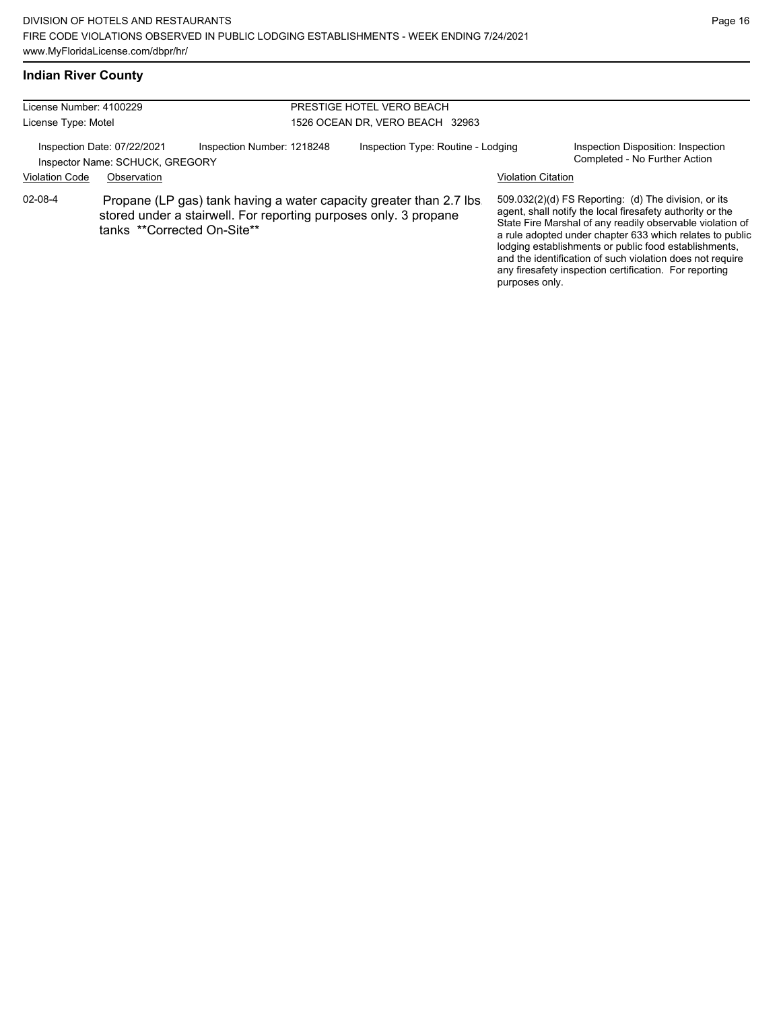## **Indian River County**

| License Number: 4100229<br>License Type: Motel |                                                                |                                                                                                                                         | PRESTIGE HOTEL VERO BEACH<br>1526 OCEAN DR, VERO BEACH 32963 |                           |                                                                                                                                                                                                                                                                                                                                                                                                                            |  |  |
|------------------------------------------------|----------------------------------------------------------------|-----------------------------------------------------------------------------------------------------------------------------------------|--------------------------------------------------------------|---------------------------|----------------------------------------------------------------------------------------------------------------------------------------------------------------------------------------------------------------------------------------------------------------------------------------------------------------------------------------------------------------------------------------------------------------------------|--|--|
|                                                | Inspection Date: 07/22/2021<br>Inspector Name: SCHUCK, GREGORY | Inspection Number: 1218248                                                                                                              | Inspection Type: Routine - Lodging                           |                           | Inspection Disposition: Inspection<br>Completed - No Further Action                                                                                                                                                                                                                                                                                                                                                        |  |  |
| <b>Violation Code</b>                          | Observation                                                    |                                                                                                                                         |                                                              | <b>Violation Citation</b> |                                                                                                                                                                                                                                                                                                                                                                                                                            |  |  |
| $02 - 08 - 4$                                  | tanks **Corrected On-Site**                                    | Propane (LP gas) tank having a water capacity greater than 2.7 lbs.<br>stored under a stairwell. For reporting purposes only. 3 propane |                                                              | purposes only.            | 509.032(2)(d) FS Reporting: (d) The division, or its<br>agent, shall notify the local firesafety authority or the<br>State Fire Marshal of any readily observable violation of<br>a rule adopted under chapter 633 which relates to public<br>lodging establishments or public food establishments,<br>and the identification of such violation does not require<br>any firesafety inspection certification. For reporting |  |  |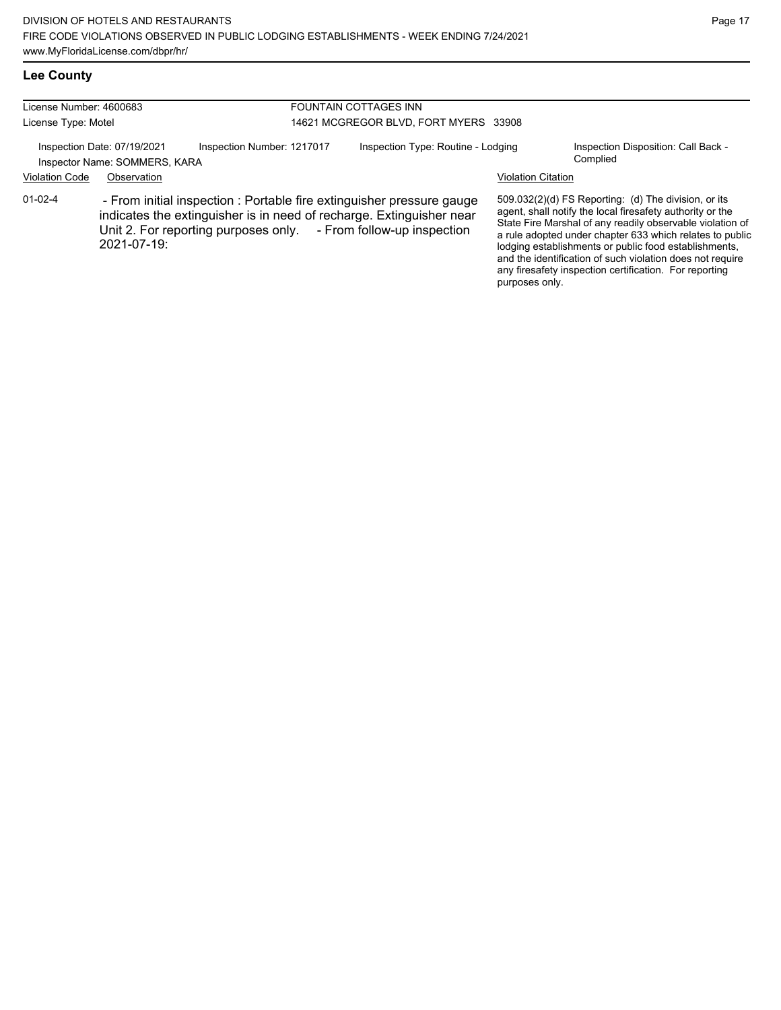# **Lee County**

| License Number: 4600683<br>License Type: Motel |                                                              |                                                                                                                                                                                                                   | FOUNTAIN COTTAGES INN<br>14621 MCGREGOR BLVD, FORT MYERS 33908 |                                             |                                                                                                                                                                                                                                                                                                                                                                                                                            |  |  |
|------------------------------------------------|--------------------------------------------------------------|-------------------------------------------------------------------------------------------------------------------------------------------------------------------------------------------------------------------|----------------------------------------------------------------|---------------------------------------------|----------------------------------------------------------------------------------------------------------------------------------------------------------------------------------------------------------------------------------------------------------------------------------------------------------------------------------------------------------------------------------------------------------------------------|--|--|
|                                                | Inspection Date: 07/19/2021<br>Inspector Name: SOMMERS, KARA | Inspection Number: 1217017                                                                                                                                                                                        | Inspection Type: Routine - Lodging                             |                                             | Inspection Disposition: Call Back -<br>Complied                                                                                                                                                                                                                                                                                                                                                                            |  |  |
| <b>Violation Code</b><br>$01 - 02 - 4$         | Observation<br>2021-07-19:                                   | - From initial inspection : Portable fire extinguisher pressure gauge<br>indicates the extinguisher is in need of recharge. Extinguisher near<br>Unit 2. For reporting purposes only. - From follow-up inspection |                                                                | <b>Violation Citation</b><br>purposes only. | 509.032(2)(d) FS Reporting: (d) The division, or its<br>agent, shall notify the local firesafety authority or the<br>State Fire Marshal of any readily observable violation of<br>a rule adopted under chapter 633 which relates to public<br>lodging establishments or public food establishments,<br>and the identification of such violation does not require<br>any firesafety inspection certification. For reporting |  |  |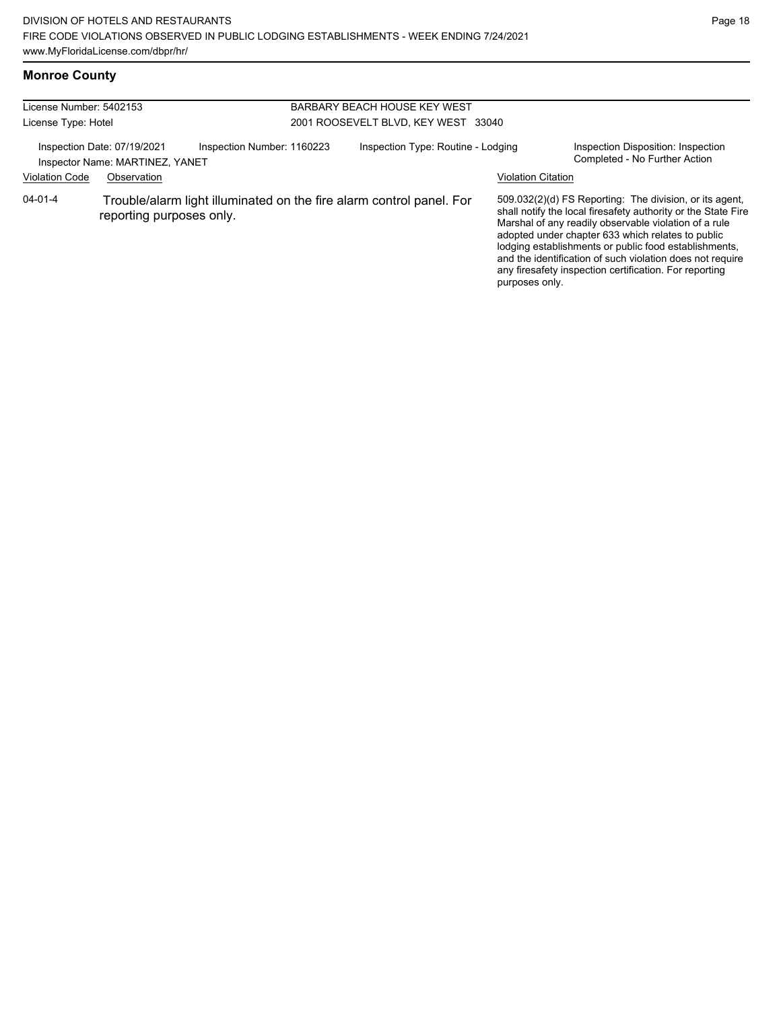#### **Monroe County**

| License Number: 5402153 |                                                                |                            | BARBARY BEACH HOUSE KEY WEST                                         |                           |                                                                                                                                                                                                                                                                                                                                                                                                                        |
|-------------------------|----------------------------------------------------------------|----------------------------|----------------------------------------------------------------------|---------------------------|------------------------------------------------------------------------------------------------------------------------------------------------------------------------------------------------------------------------------------------------------------------------------------------------------------------------------------------------------------------------------------------------------------------------|
| License Type: Hotel     |                                                                |                            | 2001 ROOSEVELT BLVD, KEY WEST 33040                                  |                           |                                                                                                                                                                                                                                                                                                                                                                                                                        |
|                         | Inspection Date: 07/19/2021<br>Inspector Name: MARTINEZ, YANET | Inspection Number: 1160223 | Inspection Type: Routine - Lodging                                   |                           | Inspection Disposition: Inspection<br>Completed - No Further Action                                                                                                                                                                                                                                                                                                                                                    |
| <b>Violation Code</b>   | Observation                                                    |                            |                                                                      | <b>Violation Citation</b> |                                                                                                                                                                                                                                                                                                                                                                                                                        |
| $04 - 01 - 4$           | reporting purposes only.                                       |                            | Trouble/alarm light illuminated on the fire alarm control panel. For | purposes only.            | 509.032(2)(d) FS Reporting: The division, or its agent,<br>shall notify the local firesafety authority or the State Fire<br>Marshal of any readily observable violation of a rule<br>adopted under chapter 633 which relates to public<br>lodging establishments or public food establishments,<br>and the identification of such violation does not require<br>any firesafety inspection certification. For reporting |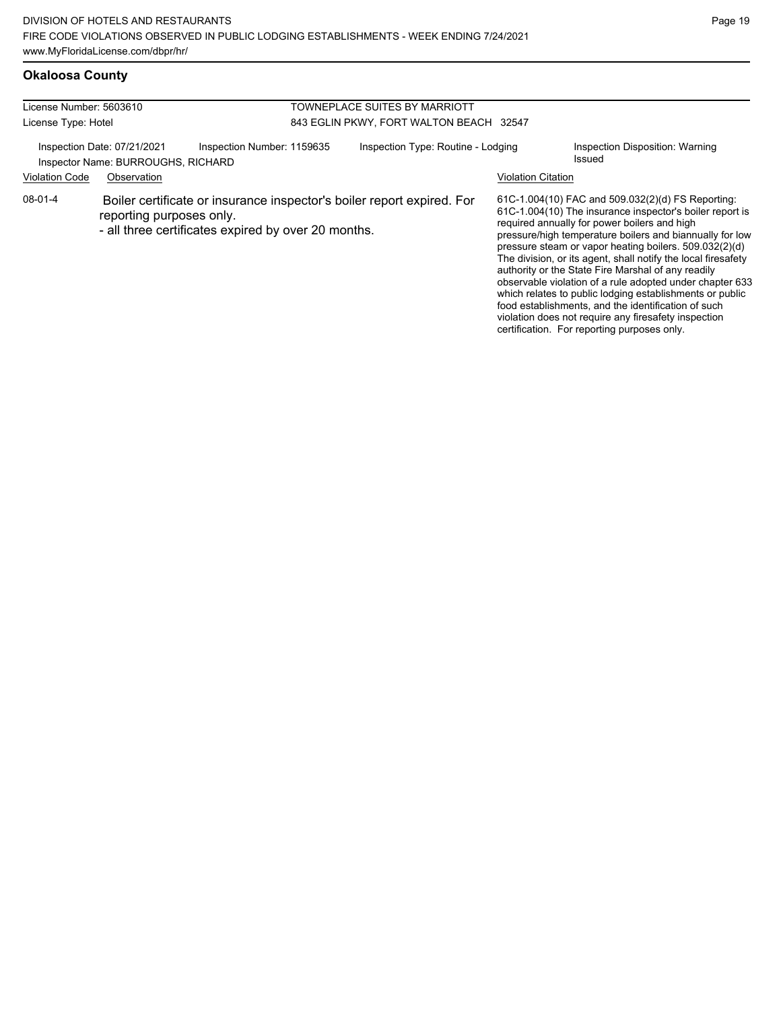# **Okaloosa County**

| License Number: 5603610<br>License Type: Hotel |                                                                                                                                                           | TOWNEPLACE SUITES BY MARRIOTT<br>843 EGLIN PKWY, FORT WALTON BEACH 32547 |                    |                                                                                                                                                                                                                                                                                                                                                                                                                                                                                                                                                                                                                                                                                                  |
|------------------------------------------------|-----------------------------------------------------------------------------------------------------------------------------------------------------------|--------------------------------------------------------------------------|--------------------|--------------------------------------------------------------------------------------------------------------------------------------------------------------------------------------------------------------------------------------------------------------------------------------------------------------------------------------------------------------------------------------------------------------------------------------------------------------------------------------------------------------------------------------------------------------------------------------------------------------------------------------------------------------------------------------------------|
| <b>Violation Code</b>                          | Inspection Date: 07/21/2021<br>Inspection Number: 1159635<br>Inspector Name: BURROUGHS, RICHARD<br>Observation                                            | Inspection Type: Routine - Lodging                                       | Violation Citation | Inspection Disposition: Warning<br>Issued                                                                                                                                                                                                                                                                                                                                                                                                                                                                                                                                                                                                                                                        |
| $08-01-4$                                      | Boiler certificate or insurance inspector's boiler report expired. For<br>reporting purposes only.<br>- all three certificates expired by over 20 months. |                                                                          |                    | 61C-1.004(10) FAC and 509.032(2)(d) FS Reporting:<br>61C-1.004(10) The insurance inspector's boiler report is<br>required annually for power boilers and high<br>pressure/high temperature boilers and biannually for low<br>pressure steam or vapor heating boilers. 509.032(2)(d)<br>The division, or its agent, shall notify the local firesafety<br>authority or the State Fire Marshal of any readily<br>observable violation of a rule adopted under chapter 633<br>which relates to public lodging establishments or public<br>food establishments, and the identification of such<br>violation does not require any firesafety inspection<br>certification. For reporting purposes only. |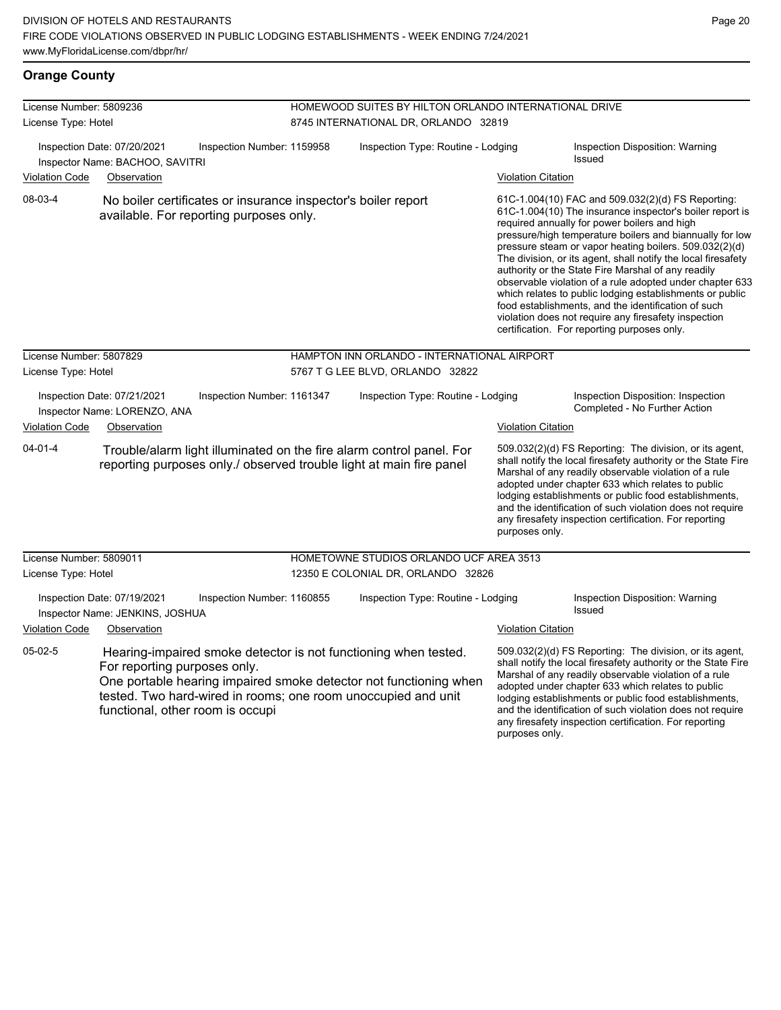#### **Orange County**

| License Number: 5809236 |                                                                  |                                                                                                          | HOMEWOOD SUITES BY HILTON ORLANDO INTERNATIONAL DRIVE |                                                                                                                                                                                                       |                           |                                                                                                                                                                                                                                                                                                                                                                                                                                                                                                                                                                                                                                                                                                  |  |  |
|-------------------------|------------------------------------------------------------------|----------------------------------------------------------------------------------------------------------|-------------------------------------------------------|-------------------------------------------------------------------------------------------------------------------------------------------------------------------------------------------------------|---------------------------|--------------------------------------------------------------------------------------------------------------------------------------------------------------------------------------------------------------------------------------------------------------------------------------------------------------------------------------------------------------------------------------------------------------------------------------------------------------------------------------------------------------------------------------------------------------------------------------------------------------------------------------------------------------------------------------------------|--|--|
| License Type: Hotel     |                                                                  |                                                                                                          | 8745 INTERNATIONAL DR, ORLANDO 32819                  |                                                                                                                                                                                                       |                           |                                                                                                                                                                                                                                                                                                                                                                                                                                                                                                                                                                                                                                                                                                  |  |  |
|                         | Inspection Date: 07/20/2021<br>Inspector Name: BACHOO, SAVITRI   | Inspection Number: 1159958                                                                               |                                                       | Inspection Type: Routine - Lodging                                                                                                                                                                    |                           | Inspection Disposition: Warning<br>Issued                                                                                                                                                                                                                                                                                                                                                                                                                                                                                                                                                                                                                                                        |  |  |
| <b>Violation Code</b>   | Observation                                                      |                                                                                                          |                                                       |                                                                                                                                                                                                       | <b>Violation Citation</b> |                                                                                                                                                                                                                                                                                                                                                                                                                                                                                                                                                                                                                                                                                                  |  |  |
| 08-03-4                 |                                                                  | No boiler certificates or insurance inspector's boiler report<br>available. For reporting purposes only. |                                                       |                                                                                                                                                                                                       |                           | 61C-1.004(10) FAC and 509.032(2)(d) FS Reporting:<br>61C-1.004(10) The insurance inspector's boiler report is<br>required annually for power boilers and high<br>pressure/high temperature boilers and biannually for low<br>pressure steam or vapor heating boilers. 509.032(2)(d)<br>The division, or its agent, shall notify the local firesafety<br>authority or the State Fire Marshal of any readily<br>observable violation of a rule adopted under chapter 633<br>which relates to public lodging establishments or public<br>food establishments, and the identification of such<br>violation does not require any firesafety inspection<br>certification. For reporting purposes only. |  |  |
| License Number: 5807829 |                                                                  |                                                                                                          |                                                       | HAMPTON INN ORLANDO - INTERNATIONAL AIRPORT                                                                                                                                                           |                           |                                                                                                                                                                                                                                                                                                                                                                                                                                                                                                                                                                                                                                                                                                  |  |  |
| License Type: Hotel     |                                                                  |                                                                                                          | 5767 T G LEE BLVD, ORLANDO 32822                      |                                                                                                                                                                                                       |                           |                                                                                                                                                                                                                                                                                                                                                                                                                                                                                                                                                                                                                                                                                                  |  |  |
|                         | Inspection Date: 07/21/2021<br>Inspector Name: LORENZO, ANA      | Inspection Number: 1161347                                                                               |                                                       | Inspection Type: Routine - Lodging                                                                                                                                                                    |                           | Inspection Disposition: Inspection<br>Completed - No Further Action                                                                                                                                                                                                                                                                                                                                                                                                                                                                                                                                                                                                                              |  |  |
| <b>Violation Code</b>   | Observation                                                      |                                                                                                          |                                                       |                                                                                                                                                                                                       | <b>Violation Citation</b> |                                                                                                                                                                                                                                                                                                                                                                                                                                                                                                                                                                                                                                                                                                  |  |  |
| $04 - 01 - 4$           |                                                                  |                                                                                                          |                                                       | Trouble/alarm light illuminated on the fire alarm control panel. For<br>reporting purposes only./ observed trouble light at main fire panel                                                           | purposes only.            | 509.032(2)(d) FS Reporting: The division, or its agent,<br>shall notify the local firesafety authority or the State Fire<br>Marshal of any readily observable violation of a rule<br>adopted under chapter 633 which relates to public<br>lodging establishments or public food establishments,<br>and the identification of such violation does not require<br>any firesafety inspection certification. For reporting                                                                                                                                                                                                                                                                           |  |  |
| License Number: 5809011 |                                                                  |                                                                                                          |                                                       | HOMETOWNE STUDIOS ORLANDO UCF AREA 3513                                                                                                                                                               |                           |                                                                                                                                                                                                                                                                                                                                                                                                                                                                                                                                                                                                                                                                                                  |  |  |
| License Type: Hotel     |                                                                  |                                                                                                          |                                                       | 12350 E COLONIAL DR, ORLANDO 32826                                                                                                                                                                    |                           |                                                                                                                                                                                                                                                                                                                                                                                                                                                                                                                                                                                                                                                                                                  |  |  |
|                         | Inspection Date: 07/19/2021<br>Inspector Name: JENKINS, JOSHUA   | Inspection Number: 1160855                                                                               |                                                       | Inspection Type: Routine - Lodging                                                                                                                                                                    |                           | Inspection Disposition: Warning<br><b>Issued</b>                                                                                                                                                                                                                                                                                                                                                                                                                                                                                                                                                                                                                                                 |  |  |
| <b>Violation Code</b>   | Observation                                                      |                                                                                                          |                                                       |                                                                                                                                                                                                       | <u>Violation Citation</u> |                                                                                                                                                                                                                                                                                                                                                                                                                                                                                                                                                                                                                                                                                                  |  |  |
| $05-02-5$               | For reporting purposes only.<br>functional, other room is occupi |                                                                                                          |                                                       | Hearing-impaired smoke detector is not functioning when tested.<br>One portable hearing impaired smoke detector not functioning when<br>tested. Two hard-wired in rooms; one room unoccupied and unit |                           | 509.032(2)(d) FS Reporting: The division, or its agent,<br>shall notify the local firesafety authority or the State Fire<br>Marshal of any readily observable violation of a rule<br>adopted under chapter 633 which relates to public<br>lodging establishments or public food establishments,<br>and the identification of such violation does not require<br>any firesafety inspection certification. For reporting                                                                                                                                                                                                                                                                           |  |  |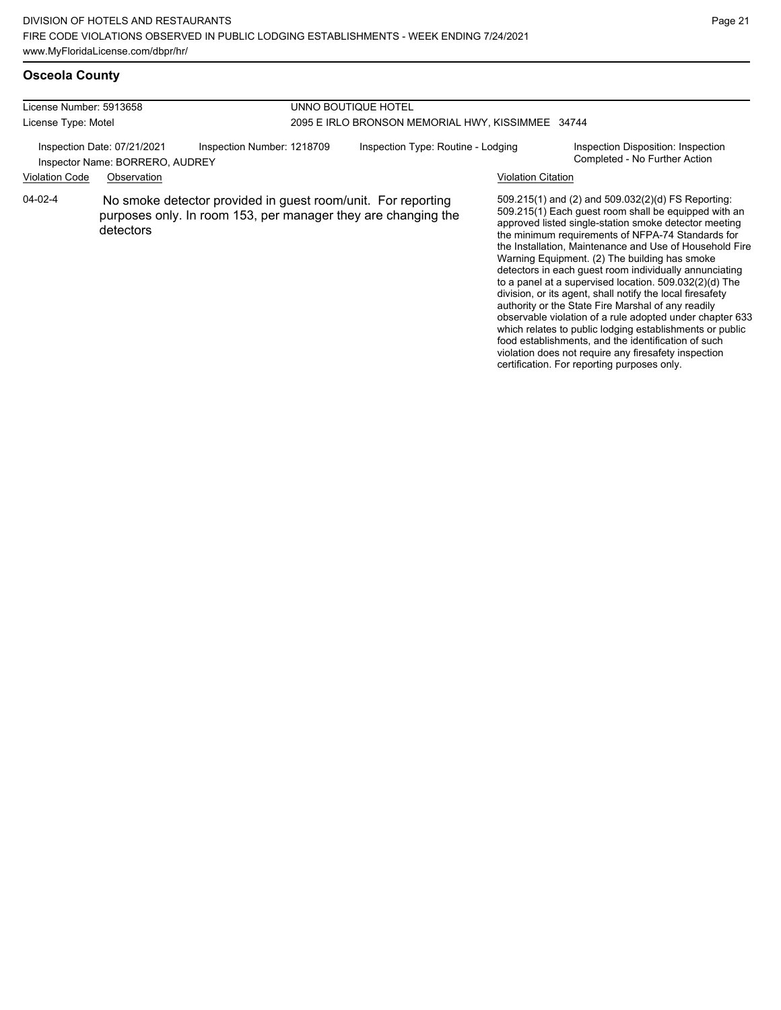food establishments, and the identification of such violation does not require any firesafety inspection certification. For reporting purposes only.

#### **Osceola County**

| License Number: 5913658                                        |             |                                                                                                                               | UNNO BOUTIQUE HOTEL                                                                                       |                    |                                                                                                                                                                                                                                                                                                                                                                                                                                                                                                                                                                                                                                                                                                     |  |  |
|----------------------------------------------------------------|-------------|-------------------------------------------------------------------------------------------------------------------------------|-----------------------------------------------------------------------------------------------------------|--------------------|-----------------------------------------------------------------------------------------------------------------------------------------------------------------------------------------------------------------------------------------------------------------------------------------------------------------------------------------------------------------------------------------------------------------------------------------------------------------------------------------------------------------------------------------------------------------------------------------------------------------------------------------------------------------------------------------------------|--|--|
| License Type: Motel                                            |             |                                                                                                                               | 2095 E IRLO BRONSON MEMORIAL HWY, KISSIMMEE 34744                                                         |                    |                                                                                                                                                                                                                                                                                                                                                                                                                                                                                                                                                                                                                                                                                                     |  |  |
| Inspection Date: 07/21/2021<br>Inspector Name: BORRERO, AUDREY |             | Inspection Number: 1218709                                                                                                    | Inspection Type: Routine - Lodging<br>Inspection Disposition: Inspection<br>Completed - No Further Action |                    |                                                                                                                                                                                                                                                                                                                                                                                                                                                                                                                                                                                                                                                                                                     |  |  |
| <b>Violation Code</b>                                          | Observation |                                                                                                                               |                                                                                                           | Violation Citation |                                                                                                                                                                                                                                                                                                                                                                                                                                                                                                                                                                                                                                                                                                     |  |  |
| $04-02-4$                                                      | detectors   | No smoke detector provided in guest room/unit. For reporting<br>purposes only. In room 153, per manager they are changing the |                                                                                                           |                    | 509.215(1) and (2) and 509.032(2)(d) FS Reporting:<br>509.215(1) Each quest room shall be equipped with an<br>approved listed single-station smoke detector meeting<br>the minimum requirements of NFPA-74 Standards for<br>the Installation, Maintenance and Use of Household Fire<br>Warning Equipment. (2) The building has smoke<br>detectors in each guest room individually annunciating<br>to a panel at a supervised location. 509.032(2)(d) The<br>division, or its agent, shall notify the local firesafety<br>authority or the State Fire Marshal of any readily<br>observable violation of a rule adopted under chapter 633<br>which relates to public lodging establishments or public |  |  |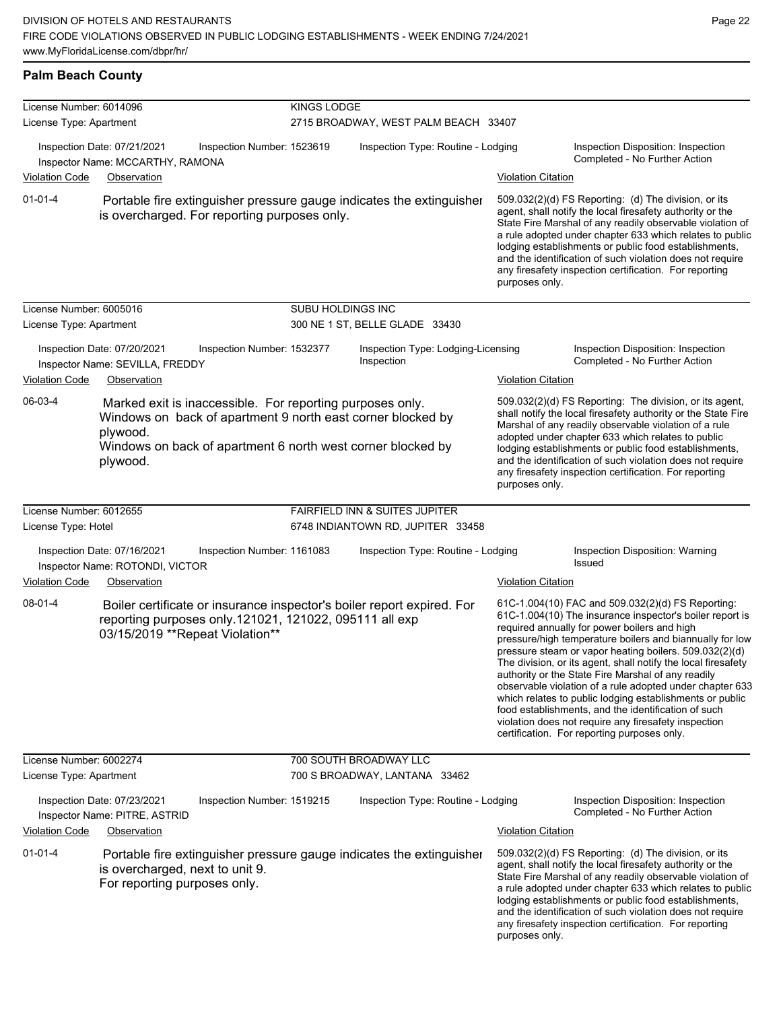|  | <b>Palm Beach County</b> |
|--|--------------------------|
|  |                          |

| License Number: 6014096 |                                                                                                                                                                                                                 | <b>KINGS LODGE</b> |                                                  |                           |                                                                                                                                                                                                                                                                                                                                                                                                                                                                                                                                                                                                                                                                                                  |
|-------------------------|-----------------------------------------------------------------------------------------------------------------------------------------------------------------------------------------------------------------|--------------------|--------------------------------------------------|---------------------------|--------------------------------------------------------------------------------------------------------------------------------------------------------------------------------------------------------------------------------------------------------------------------------------------------------------------------------------------------------------------------------------------------------------------------------------------------------------------------------------------------------------------------------------------------------------------------------------------------------------------------------------------------------------------------------------------------|
| License Type: Apartment |                                                                                                                                                                                                                 |                    | 2715 BROADWAY, WEST PALM BEACH 33407             |                           |                                                                                                                                                                                                                                                                                                                                                                                                                                                                                                                                                                                                                                                                                                  |
| <b>Violation Code</b>   | Inspection Date: 07/21/2021<br>Inspection Number: 1523619<br>Inspector Name: MCCARTHY, RAMONA<br>Observation                                                                                                    |                    | Inspection Type: Routine - Lodging               | <b>Violation Citation</b> | Inspection Disposition: Inspection<br>Completed - No Further Action                                                                                                                                                                                                                                                                                                                                                                                                                                                                                                                                                                                                                              |
| $01 - 01 - 4$           | Portable fire extinguisher pressure gauge indicates the extinguisher<br>is overcharged. For reporting purposes only.                                                                                            |                    |                                                  | purposes only.            | 509.032(2)(d) FS Reporting: (d) The division, or its<br>agent, shall notify the local firesafety authority or the<br>State Fire Marshal of any readily observable violation of<br>a rule adopted under chapter 633 which relates to public<br>lodging establishments or public food establishments,<br>and the identification of such violation does not require<br>any firesafety inspection certification. For reporting                                                                                                                                                                                                                                                                       |
| License Number: 6005016 |                                                                                                                                                                                                                 | SUBU HOLDINGS INC  |                                                  |                           |                                                                                                                                                                                                                                                                                                                                                                                                                                                                                                                                                                                                                                                                                                  |
| License Type: Apartment |                                                                                                                                                                                                                 |                    | 300 NE 1 ST, BELLE GLADE 33430                   |                           |                                                                                                                                                                                                                                                                                                                                                                                                                                                                                                                                                                                                                                                                                                  |
|                         | Inspection Date: 07/20/2021<br>Inspection Number: 1532377<br>Inspector Name: SEVILLA, FREDDY                                                                                                                    |                    | Inspection Type: Lodging-Licensing<br>Inspection |                           | Inspection Disposition: Inspection<br>Completed - No Further Action                                                                                                                                                                                                                                                                                                                                                                                                                                                                                                                                                                                                                              |
| <b>Violation Code</b>   | Observation                                                                                                                                                                                                     |                    |                                                  | <b>Violation Citation</b> |                                                                                                                                                                                                                                                                                                                                                                                                                                                                                                                                                                                                                                                                                                  |
| 06-03-4                 | Marked exit is inaccessible. For reporting purposes only.<br>Windows on back of apartment 9 north east corner blocked by<br>plywood.<br>Windows on back of apartment 6 north west corner blocked by<br>plywood. |                    |                                                  | purposes only.            | 509.032(2)(d) FS Reporting: The division, or its agent,<br>shall notify the local firesafety authority or the State Fire<br>Marshal of any readily observable violation of a rule<br>adopted under chapter 633 which relates to public<br>lodging establishments or public food establishments,<br>and the identification of such violation does not require<br>any firesafety inspection certification. For reporting                                                                                                                                                                                                                                                                           |
| License Number: 6012655 |                                                                                                                                                                                                                 |                    | <b>FAIRFIELD INN &amp; SUITES JUPITER</b>        |                           |                                                                                                                                                                                                                                                                                                                                                                                                                                                                                                                                                                                                                                                                                                  |
| License Type: Hotel     |                                                                                                                                                                                                                 |                    | 6748 INDIANTOWN RD, JUPITER 33458                |                           |                                                                                                                                                                                                                                                                                                                                                                                                                                                                                                                                                                                                                                                                                                  |
| <b>Violation Code</b>   | Inspection Date: 07/16/2021<br>Inspection Number: 1161083<br>Inspector Name: ROTONDI, VICTOR<br>Observation                                                                                                     |                    | Inspection Type: Routine - Lodging               | <b>Violation Citation</b> | Inspection Disposition: Warning<br>Issued                                                                                                                                                                                                                                                                                                                                                                                                                                                                                                                                                                                                                                                        |
| 08-01-4                 | Boiler certificate or insurance inspector's boiler report expired. For<br>reporting purposes only.121021, 121022, 095111 all exp<br>03/15/2019 ** Repeat Violation**                                            |                    |                                                  |                           | 61C-1.004(10) FAC and 509.032(2)(d) FS Reporting:<br>61C-1.004(10) The insurance inspector's boiler report is<br>required annually for power boilers and high<br>pressure/high temperature boilers and biannually for low<br>pressure steam or vapor heating boilers. 509.032(2)(d)<br>The division, or its agent, shall notify the local firesafety<br>authority or the State Fire Marshal of any readily<br>observable violation of a rule adopted under chapter 633<br>which relates to public lodging establishments or public<br>food establishments, and the identification of such<br>violation does not require any firesafety inspection<br>certification. For reporting purposes only. |
| License Number: 6002274 |                                                                                                                                                                                                                 |                    | 700 SOUTH BROADWAY LLC                           |                           |                                                                                                                                                                                                                                                                                                                                                                                                                                                                                                                                                                                                                                                                                                  |
| License Type: Apartment |                                                                                                                                                                                                                 |                    | 700 S BROADWAY, LANTANA 33462                    |                           |                                                                                                                                                                                                                                                                                                                                                                                                                                                                                                                                                                                                                                                                                                  |
|                         | Inspection Date: 07/23/2021<br>Inspection Number: 1519215<br>Inspector Name: PITRE, ASTRID                                                                                                                      |                    | Inspection Type: Routine - Lodging               |                           | Inspection Disposition: Inspection<br>Completed - No Further Action                                                                                                                                                                                                                                                                                                                                                                                                                                                                                                                                                                                                                              |
| <b>Violation Code</b>   | Observation                                                                                                                                                                                                     |                    |                                                  | <b>Violation Citation</b> |                                                                                                                                                                                                                                                                                                                                                                                                                                                                                                                                                                                                                                                                                                  |
| $01 - 01 - 4$           | Portable fire extinguisher pressure gauge indicates the extinguisher<br>is overcharged, next to unit 9.<br>For reporting purposes only.                                                                         |                    |                                                  | purposes only.            | 509.032(2)(d) FS Reporting: (d) The division, or its<br>agent, shall notify the local firesafety authority or the<br>State Fire Marshal of any readily observable violation of<br>a rule adopted under chapter 633 which relates to public<br>lodging establishments or public food establishments,<br>and the identification of such violation does not require<br>any firesafety inspection certification. For reporting                                                                                                                                                                                                                                                                       |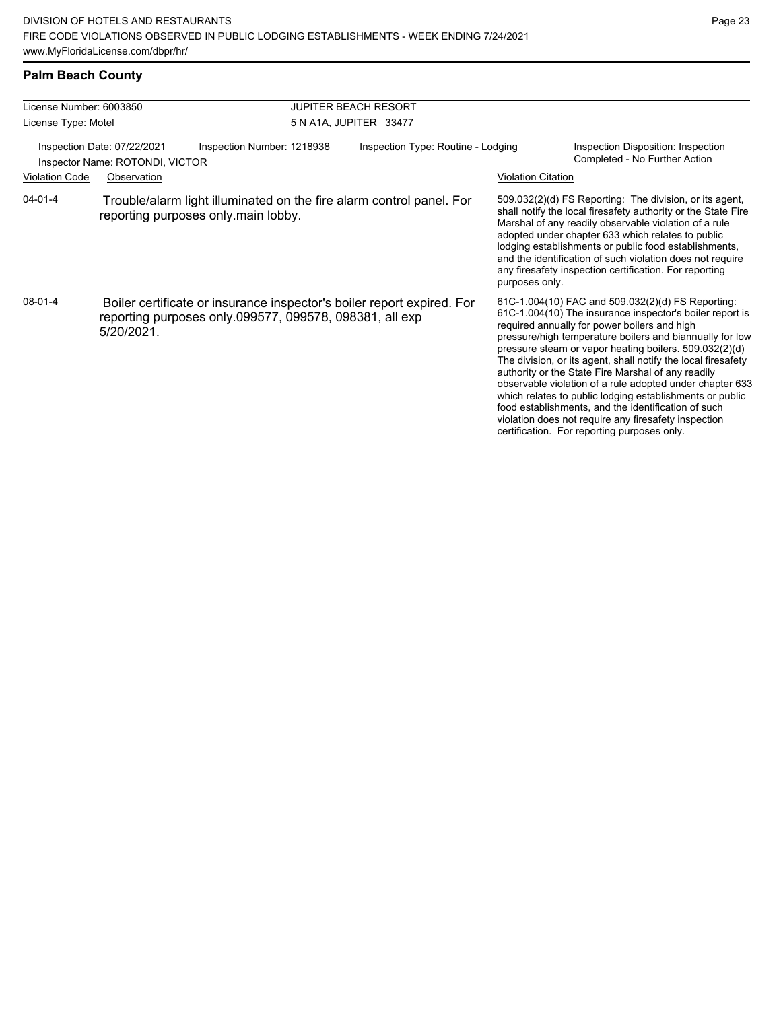### **Palm Beach County**

| License Number: 6003850                                        |                                                                                                                                                 |                                                                                                             | <b>JUPITER BEACH RESORT</b>        |                           |                                                                                                                                                                                                                                                                                                                                                                                                                                                                                                                                                                                                                                                                                                  |  |  |
|----------------------------------------------------------------|-------------------------------------------------------------------------------------------------------------------------------------------------|-------------------------------------------------------------------------------------------------------------|------------------------------------|---------------------------|--------------------------------------------------------------------------------------------------------------------------------------------------------------------------------------------------------------------------------------------------------------------------------------------------------------------------------------------------------------------------------------------------------------------------------------------------------------------------------------------------------------------------------------------------------------------------------------------------------------------------------------------------------------------------------------------------|--|--|
| License Type: Motel                                            |                                                                                                                                                 |                                                                                                             | 5 N A1A, JUPITER 33477             |                           |                                                                                                                                                                                                                                                                                                                                                                                                                                                                                                                                                                                                                                                                                                  |  |  |
| Inspection Date: 07/22/2021<br>Inspector Name: ROTONDI, VICTOR |                                                                                                                                                 | Inspection Number: 1218938                                                                                  | Inspection Type: Routine - Lodging |                           | Inspection Disposition: Inspection<br>Completed - No Further Action                                                                                                                                                                                                                                                                                                                                                                                                                                                                                                                                                                                                                              |  |  |
| <b>Violation Code</b>                                          | Observation                                                                                                                                     |                                                                                                             |                                    | <b>Violation Citation</b> |                                                                                                                                                                                                                                                                                                                                                                                                                                                                                                                                                                                                                                                                                                  |  |  |
| $04 - 01 - 4$                                                  |                                                                                                                                                 | Trouble/alarm light illuminated on the fire alarm control panel. For<br>reporting purposes only.main lobby. |                                    | purposes only.            | 509.032(2)(d) FS Reporting: The division, or its agent,<br>shall notify the local firesafety authority or the State Fire<br>Marshal of any readily observable violation of a rule<br>adopted under chapter 633 which relates to public<br>lodging establishments or public food establishments,<br>and the identification of such violation does not require<br>any firesafety inspection certification. For reporting                                                                                                                                                                                                                                                                           |  |  |
| 08-01-4                                                        | Boiler certificate or insurance inspector's boiler report expired. For<br>reporting purposes only.099577, 099578, 098381, all exp<br>5/20/2021. |                                                                                                             |                                    |                           | 61C-1.004(10) FAC and 509.032(2)(d) FS Reporting:<br>61C-1.004(10) The insurance inspector's boiler report is<br>required annually for power boilers and high<br>pressure/high temperature boilers and biannually for low<br>pressure steam or vapor heating boilers. 509.032(2)(d)<br>The division, or its agent, shall notify the local firesafety<br>authority or the State Fire Marshal of any readily<br>observable violation of a rule adopted under chapter 633<br>which relates to public lodging establishments or public<br>food establishments, and the identification of such<br>violation does not require any firesafety inspection<br>certification. For reporting purposes only. |  |  |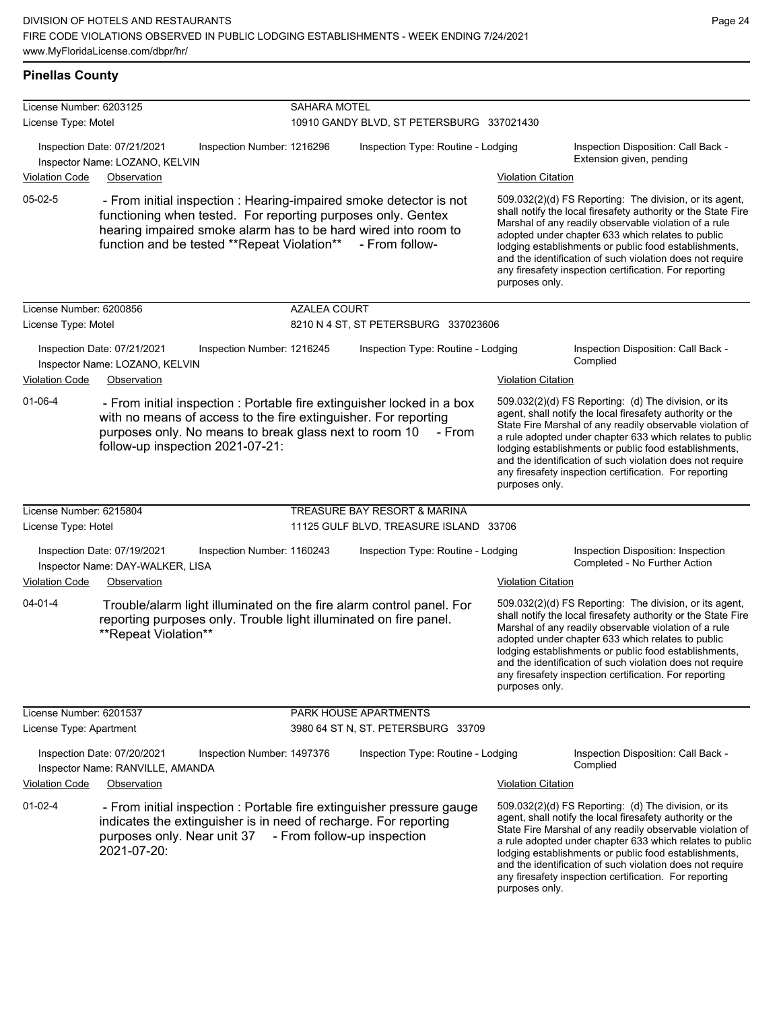#### **Pinellas County**

| License Number: 6203125                        |                                                                              |                                                                                                                                                                                              | <b>SAHARA MOTEL</b> |                                                                                                      |                                                                                                                                                                                                                                                                                                                                                                                                                                          |                                                                                                                                                                                                                                                                                                                                                                                                                            |  |
|------------------------------------------------|------------------------------------------------------------------------------|----------------------------------------------------------------------------------------------------------------------------------------------------------------------------------------------|---------------------|------------------------------------------------------------------------------------------------------|------------------------------------------------------------------------------------------------------------------------------------------------------------------------------------------------------------------------------------------------------------------------------------------------------------------------------------------------------------------------------------------------------------------------------------------|----------------------------------------------------------------------------------------------------------------------------------------------------------------------------------------------------------------------------------------------------------------------------------------------------------------------------------------------------------------------------------------------------------------------------|--|
| License Type: Motel                            |                                                                              |                                                                                                                                                                                              |                     | 10910 GANDY BLVD, ST PETERSBURG 337021430                                                            |                                                                                                                                                                                                                                                                                                                                                                                                                                          |                                                                                                                                                                                                                                                                                                                                                                                                                            |  |
|                                                | Inspection Date: 07/21/2021<br>Inspector Name: LOZANO, KELVIN                | Inspection Number: 1216296                                                                                                                                                                   |                     | Inspection Type: Routine - Lodging                                                                   |                                                                                                                                                                                                                                                                                                                                                                                                                                          | Inspection Disposition: Call Back -<br>Extension given, pending                                                                                                                                                                                                                                                                                                                                                            |  |
| <b>Violation Code</b>                          | Observation                                                                  |                                                                                                                                                                                              |                     |                                                                                                      | <b>Violation Citation</b>                                                                                                                                                                                                                                                                                                                                                                                                                |                                                                                                                                                                                                                                                                                                                                                                                                                            |  |
| 05-02-5                                        |                                                                              | functioning when tested. For reporting purposes only. Gentex<br>hearing impaired smoke alarm has to be hard wired into room to<br>function and be tested **Repeat Violation** - From follow- |                     | - From initial inspection : Hearing-impaired smoke detector is not                                   | 509.032(2)(d) FS Reporting: The division, or its agent,<br>shall notify the local firesafety authority or the State Fire<br>Marshal of any readily observable violation of a rule<br>adopted under chapter 633 which relates to public<br>lodging establishments or public food establishments,<br>and the identification of such violation does not require<br>any firesafety inspection certification. For reporting<br>purposes only. |                                                                                                                                                                                                                                                                                                                                                                                                                            |  |
| License Number: 6200856<br>License Type: Motel |                                                                              |                                                                                                                                                                                              | <b>AZALEA COURT</b> | 8210 N 4 ST, ST PETERSBURG 337023606                                                                 |                                                                                                                                                                                                                                                                                                                                                                                                                                          |                                                                                                                                                                                                                                                                                                                                                                                                                            |  |
| <b>Violation Code</b>                          | Inspection Date: 07/21/2021<br>Inspector Name: LOZANO, KELVIN<br>Observation | Inspection Number: 1216245                                                                                                                                                                   |                     | Inspection Type: Routine - Lodging                                                                   | <b>Violation Citation</b>                                                                                                                                                                                                                                                                                                                                                                                                                | Inspection Disposition: Call Back -<br>Complied                                                                                                                                                                                                                                                                                                                                                                            |  |
| $01 - 06 - 4$                                  |                                                                              | with no means of access to the fire extinguisher. For reporting<br>purposes only. No means to break glass next to room 10<br>follow-up inspection 2021-07-21:                                |                     | - From initial inspection : Portable fire extinguisher locked in a box<br>- From                     | purposes only.                                                                                                                                                                                                                                                                                                                                                                                                                           | 509.032(2)(d) FS Reporting: (d) The division, or its<br>agent, shall notify the local firesafety authority or the<br>State Fire Marshal of any readily observable violation of<br>a rule adopted under chapter 633 which relates to public<br>lodging establishments or public food establishments,<br>and the identification of such violation does not require<br>any firesafety inspection certification. For reporting |  |
| License Number: 6215804                        |                                                                              |                                                                                                                                                                                              |                     | TREASURE BAY RESORT & MARINA                                                                         |                                                                                                                                                                                                                                                                                                                                                                                                                                          |                                                                                                                                                                                                                                                                                                                                                                                                                            |  |
| License Type: Hotel                            |                                                                              |                                                                                                                                                                                              |                     | 11125 GULF BLVD, TREASURE ISLAND 33706                                                               |                                                                                                                                                                                                                                                                                                                                                                                                                                          |                                                                                                                                                                                                                                                                                                                                                                                                                            |  |
|                                                | Inspection Date: 07/19/2021<br>Inspector Name: DAY-WALKER, LISA              | Inspection Number: 1160243                                                                                                                                                                   |                     | Inspection Type: Routine - Lodging                                                                   |                                                                                                                                                                                                                                                                                                                                                                                                                                          | Inspection Disposition: Inspection<br>Completed - No Further Action                                                                                                                                                                                                                                                                                                                                                        |  |
| <b>Violation Code</b>                          | Observation                                                                  |                                                                                                                                                                                              |                     |                                                                                                      | <b>Violation Citation</b>                                                                                                                                                                                                                                                                                                                                                                                                                |                                                                                                                                                                                                                                                                                                                                                                                                                            |  |
| $04 - 01 - 4$                                  | **Repeat Violation**                                                         | reporting purposes only. Trouble light illuminated on fire panel.                                                                                                                            |                     | Trouble/alarm light illuminated on the fire alarm control panel. For                                 | purposes only.                                                                                                                                                                                                                                                                                                                                                                                                                           | 509.032(2)(d) FS Reporting: The division, or its agent,<br>shall notify the local firesafety authority or the State Fire<br>Marshal of any readily observable violation of a rule<br>adopted under chapter 633 which relates to public<br>lodging establishments or public food establishments,<br>and the identification of such violation does not require<br>any firesafety inspection certification. For reporting     |  |
| License Number: 6201537                        |                                                                              |                                                                                                                                                                                              |                     | PARK HOUSE APARTMENTS                                                                                |                                                                                                                                                                                                                                                                                                                                                                                                                                          |                                                                                                                                                                                                                                                                                                                                                                                                                            |  |
| License Type: Apartment                        |                                                                              |                                                                                                                                                                                              |                     | 3980 64 ST N, ST. PETERSBURG 33709                                                                   |                                                                                                                                                                                                                                                                                                                                                                                                                                          |                                                                                                                                                                                                                                                                                                                                                                                                                            |  |
|                                                | Inspection Date: 07/20/2021<br>Inspector Name: RANVILLE, AMANDA              | Inspection Number: 1497376                                                                                                                                                                   |                     | Inspection Type: Routine - Lodging                                                                   |                                                                                                                                                                                                                                                                                                                                                                                                                                          | Inspection Disposition: Call Back -<br>Complied                                                                                                                                                                                                                                                                                                                                                                            |  |
| Violation Code                                 | Observation                                                                  |                                                                                                                                                                                              |                     |                                                                                                      | <b>Violation Citation</b>                                                                                                                                                                                                                                                                                                                                                                                                                |                                                                                                                                                                                                                                                                                                                                                                                                                            |  |
| $01-02-4$                                      | purposes only. Near unit 37<br>2021-07-20:                                   | indicates the extinguisher is in need of recharge. For reporting                                                                                                                             |                     | - From initial inspection : Portable fire extinguisher pressure gauge<br>- From follow-up inspection | purposes only.                                                                                                                                                                                                                                                                                                                                                                                                                           | 509.032(2)(d) FS Reporting: (d) The division, or its<br>agent, shall notify the local firesafety authority or the<br>State Fire Marshal of any readily observable violation of<br>a rule adopted under chapter 633 which relates to public<br>lodging establishments or public food establishments,<br>and the identification of such violation does not require<br>any firesafety inspection certification. For reporting |  |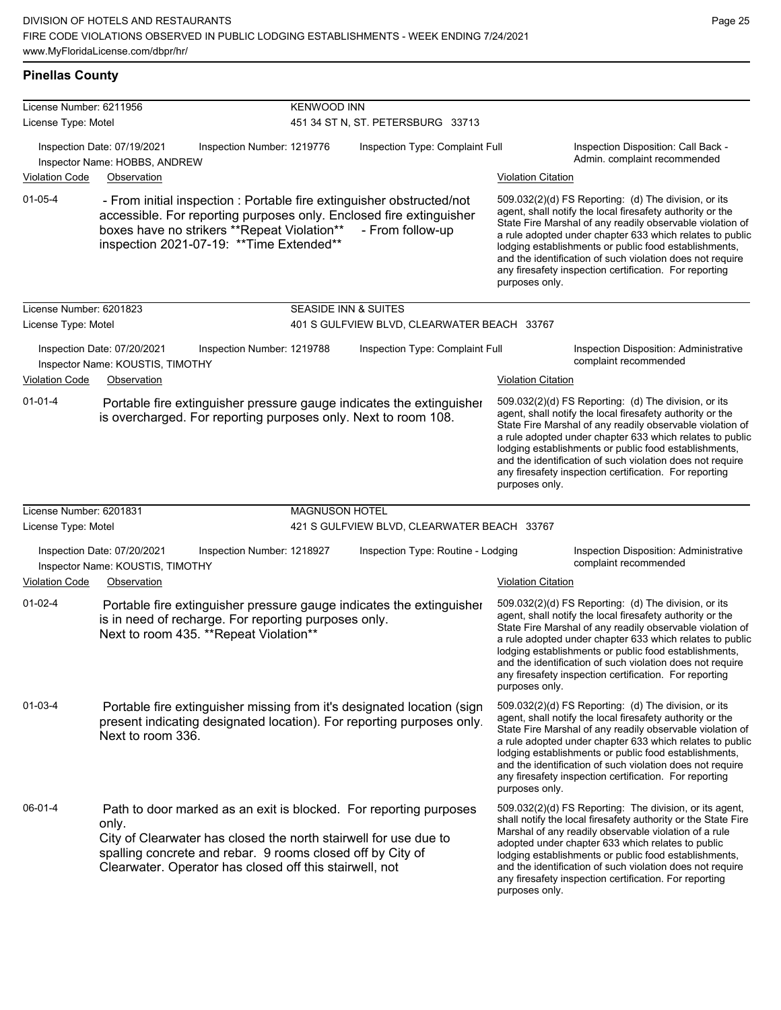| License Number: 6211956 |                                                                                                                                                                                                                                                                         | <b>KENWOOD INN</b>    |                                             |                                                                                                                                                                                                                                                                                                                                                                                                                                              |  |  |  |
|-------------------------|-------------------------------------------------------------------------------------------------------------------------------------------------------------------------------------------------------------------------------------------------------------------------|-----------------------|---------------------------------------------|----------------------------------------------------------------------------------------------------------------------------------------------------------------------------------------------------------------------------------------------------------------------------------------------------------------------------------------------------------------------------------------------------------------------------------------------|--|--|--|
| License Type: Motel     |                                                                                                                                                                                                                                                                         |                       | 451 34 ST N, ST. PETERSBURG 33713           |                                                                                                                                                                                                                                                                                                                                                                                                                                              |  |  |  |
|                         | Inspection Date: 07/19/2021<br>Inspection Number: 1219776<br>Inspector Name: HOBBS, ANDREW                                                                                                                                                                              |                       | Inspection Type: Complaint Full             | Inspection Disposition: Call Back -<br>Admin. complaint recommended                                                                                                                                                                                                                                                                                                                                                                          |  |  |  |
| <b>Violation Code</b>   | Observation                                                                                                                                                                                                                                                             |                       |                                             | <b>Violation Citation</b>                                                                                                                                                                                                                                                                                                                                                                                                                    |  |  |  |
| $01 - 05 - 4$           | - From initial inspection : Portable fire extinguisher obstructed/not<br>accessible. For reporting purposes only. Enclosed fire extinguisher<br>boxes have no strikers **Repeat Violation**<br>inspection 2021-07-19: ** Time Extended**                                |                       | - From follow-up                            | 509.032(2)(d) FS Reporting: (d) The division, or its<br>agent, shall notify the local firesafety authority or the<br>State Fire Marshal of any readily observable violation of<br>a rule adopted under chapter 633 which relates to public<br>lodging establishments or public food establishments,<br>and the identification of such violation does not require<br>any firesafety inspection certification. For reporting<br>purposes only. |  |  |  |
| License Number: 6201823 |                                                                                                                                                                                                                                                                         |                       | <b>SEASIDE INN &amp; SUITES</b>             |                                                                                                                                                                                                                                                                                                                                                                                                                                              |  |  |  |
| License Type: Motel     |                                                                                                                                                                                                                                                                         |                       | 401 S GULFVIEW BLVD, CLEARWATER BEACH 33767 |                                                                                                                                                                                                                                                                                                                                                                                                                                              |  |  |  |
|                         | Inspection Date: 07/20/2021<br>Inspection Number: 1219788<br>Inspector Name: KOUSTIS, TIMOTHY                                                                                                                                                                           |                       | Inspection Type: Complaint Full             | Inspection Disposition: Administrative<br>complaint recommended                                                                                                                                                                                                                                                                                                                                                                              |  |  |  |
| <b>Violation Code</b>   | Observation                                                                                                                                                                                                                                                             |                       |                                             | <b>Violation Citation</b>                                                                                                                                                                                                                                                                                                                                                                                                                    |  |  |  |
| $01 - 01 - 4$           | Portable fire extinguisher pressure gauge indicates the extinguisher<br>is overcharged. For reporting purposes only. Next to room 108.                                                                                                                                  |                       |                                             | 509.032(2)(d) FS Reporting: (d) The division, or its<br>agent, shall notify the local firesafety authority or the<br>State Fire Marshal of any readily observable violation of<br>a rule adopted under chapter 633 which relates to public<br>lodging establishments or public food establishments,<br>and the identification of such violation does not require<br>any firesafety inspection certification. For reporting<br>purposes only. |  |  |  |
| License Number: 6201831 |                                                                                                                                                                                                                                                                         | <b>MAGNUSON HOTEL</b> |                                             |                                                                                                                                                                                                                                                                                                                                                                                                                                              |  |  |  |
| License Type: Motel     |                                                                                                                                                                                                                                                                         |                       | 421 S GULFVIEW BLVD, CLEARWATER BEACH 33767 |                                                                                                                                                                                                                                                                                                                                                                                                                                              |  |  |  |
|                         | Inspection Number: 1218927<br>Inspection Date: 07/20/2021<br>Inspector Name: KOUSTIS, TIMOTHY                                                                                                                                                                           |                       | Inspection Type: Routine - Lodging          | Inspection Disposition: Administrative<br>complaint recommended                                                                                                                                                                                                                                                                                                                                                                              |  |  |  |
| <b>Violation Code</b>   | Observation                                                                                                                                                                                                                                                             |                       |                                             | <b>Violation Citation</b>                                                                                                                                                                                                                                                                                                                                                                                                                    |  |  |  |
| $01 - 02 - 4$           | Portable fire extinguisher pressure gauge indicates the extinguisher<br>is in need of recharge. For reporting purposes only.<br>Next to room 435. **Repeat Violation**                                                                                                  |                       |                                             | 509.032(2)(d) FS Reporting: (d) The division, or its<br>agent, shall notify the local firesafety authority or the<br>State Fire Marshal of any readily observable violation of<br>a rule adopted under chapter 633 which relates to public<br>lodging establishments or public food establishments,<br>and the identification of such violation does not require<br>any firesafety inspection certification. For reporting<br>purposes only. |  |  |  |
| 01-03-4                 | Portable fire extinguisher missing from it's designated location (sign<br>present indicating designated location). For reporting purposes only.<br>Next to room 336.                                                                                                    |                       |                                             | 509.032(2)(d) FS Reporting: (d) The division, or its<br>agent, shall notify the local firesafety authority or the<br>State Fire Marshal of any readily observable violation of<br>a rule adopted under chapter 633 which relates to public<br>lodging establishments or public food establishments,<br>and the identification of such violation does not require<br>any firesafety inspection certification. For reporting<br>purposes only. |  |  |  |
| $06 - 01 - 4$           | Path to door marked as an exit is blocked. For reporting purposes<br>only.<br>City of Clearwater has closed the north stairwell for use due to<br>spalling concrete and rebar. 9 rooms closed off by City of<br>Clearwater. Operator has closed off this stairwell, not |                       |                                             | 509.032(2)(d) FS Reporting: The division, or its agent,<br>shall notify the local firesafety authority or the State Fire<br>Marshal of any readily observable violation of a rule<br>adopted under chapter 633 which relates to public<br>lodging establishments or public food establishments,<br>and the identification of such violation does not require<br>any firesafety inspection certification. For reporting<br>purposes only.     |  |  |  |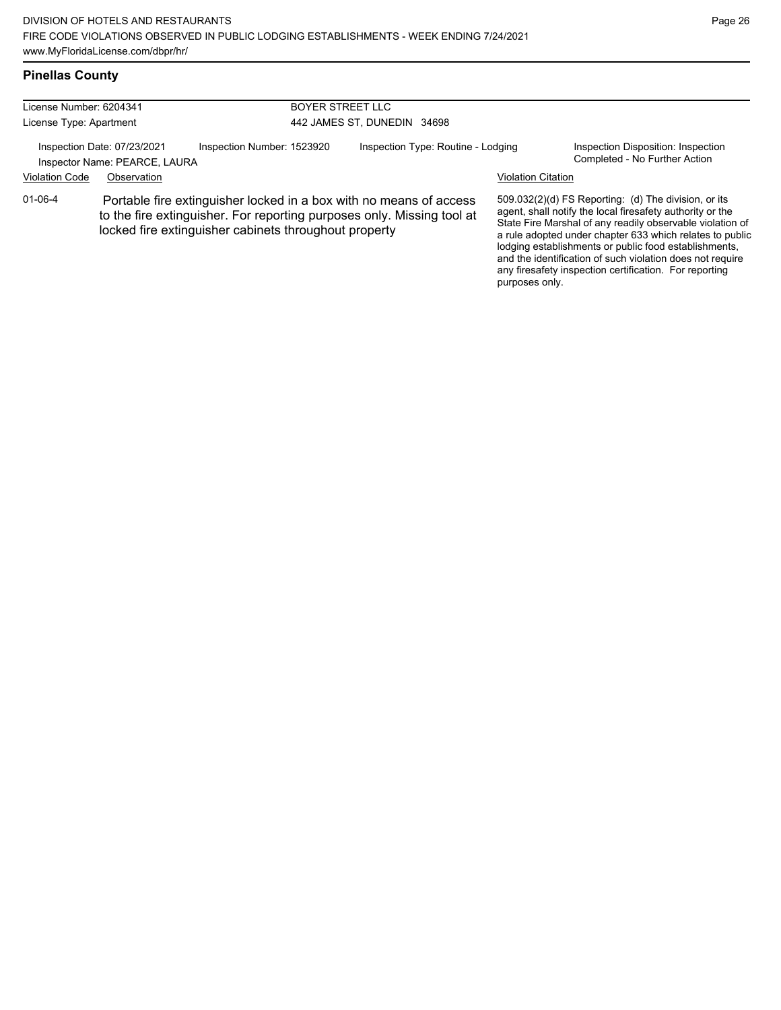any firesafety inspection certification. For reporting

purposes only.

# **Pinellas County**

| License Number: 6204341<br>License Type: Apartment           |             |                                                       | <b>BOYER STREET LLC</b>                                                                                                                      |                           |                                                                                                                                                                                                                                                                                                                                                                  |
|--------------------------------------------------------------|-------------|-------------------------------------------------------|----------------------------------------------------------------------------------------------------------------------------------------------|---------------------------|------------------------------------------------------------------------------------------------------------------------------------------------------------------------------------------------------------------------------------------------------------------------------------------------------------------------------------------------------------------|
|                                                              |             |                                                       | 442 JAMES ST, DUNEDIN 34698                                                                                                                  |                           |                                                                                                                                                                                                                                                                                                                                                                  |
| Inspection Date: 07/23/2021<br>Inspector Name: PEARCE, LAURA |             | Inspection Number: 1523920                            | Inspection Type: Routine - Lodging                                                                                                           |                           | Inspection Disposition: Inspection<br>Completed - No Further Action                                                                                                                                                                                                                                                                                              |
| <b>Violation Code</b>                                        | Observation |                                                       |                                                                                                                                              | <b>Violation Citation</b> |                                                                                                                                                                                                                                                                                                                                                                  |
| $01 - 06 - 4$                                                |             | locked fire extinguisher cabinets throughout property | Portable fire extinguisher locked in a box with no means of access<br>to the fire extinguisher. For reporting purposes only. Missing tool at |                           | 509.032(2)(d) FS Reporting: (d) The division, or its<br>agent, shall notify the local firesafety authority or the<br>State Fire Marshal of any readily observable violation of<br>a rule adopted under chapter 633 which relates to public<br>lodging establishments or public food establishments,<br>and the identification of such violation does not require |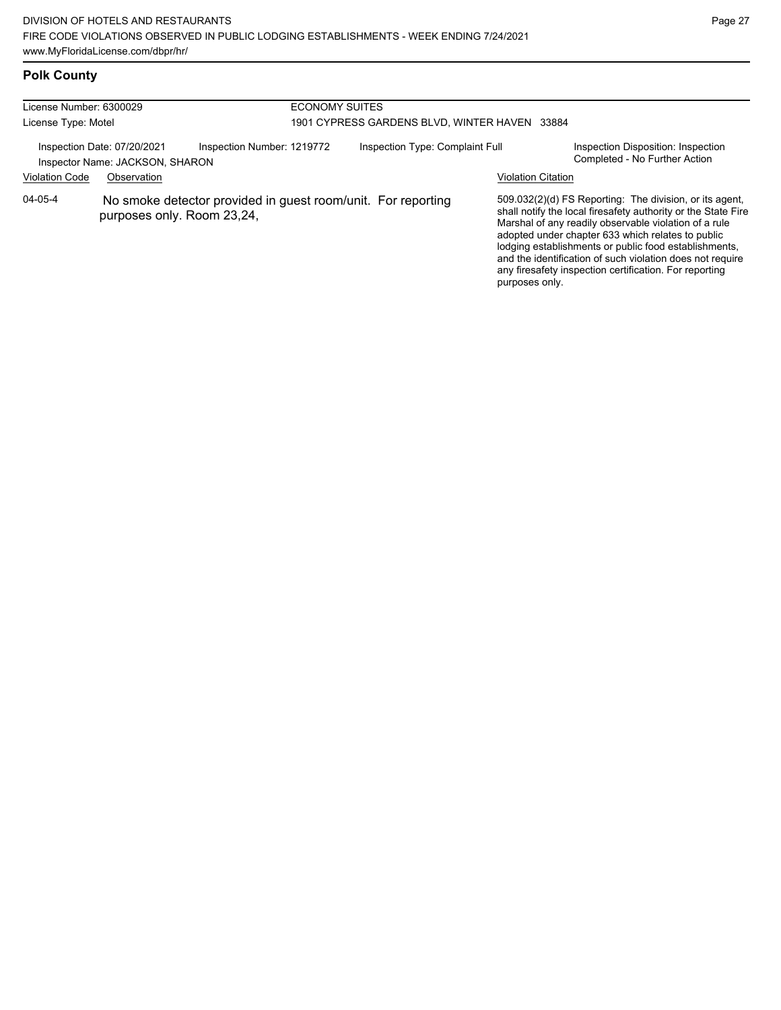# **Polk County**

| License Number: 6300029                                        |             |                                                                                            | <b>ECONOMY SUITES</b>                         |                           |                                                                                                                                                                                                                                                                                                                                                                                                                        |  |  |
|----------------------------------------------------------------|-------------|--------------------------------------------------------------------------------------------|-----------------------------------------------|---------------------------|------------------------------------------------------------------------------------------------------------------------------------------------------------------------------------------------------------------------------------------------------------------------------------------------------------------------------------------------------------------------------------------------------------------------|--|--|
| License Type: Motel                                            |             |                                                                                            | 1901 CYPRESS GARDENS BLVD, WINTER HAVEN 33884 |                           |                                                                                                                                                                                                                                                                                                                                                                                                                        |  |  |
| Inspection Date: 07/20/2021<br>Inspector Name: JACKSON, SHARON |             | Inspection Number: 1219772                                                                 | Inspection Type: Complaint Full               |                           | Inspection Disposition: Inspection<br>Completed - No Further Action                                                                                                                                                                                                                                                                                                                                                    |  |  |
| <b>Violation Code</b>                                          | Observation |                                                                                            |                                               | <b>Violation Citation</b> |                                                                                                                                                                                                                                                                                                                                                                                                                        |  |  |
| $04 - 05 - 4$                                                  |             | No smoke detector provided in guest room/unit. For reporting<br>purposes only. Room 23,24, |                                               | purposes only.            | 509.032(2)(d) FS Reporting: The division, or its agent,<br>shall notify the local firesafety authority or the State Fire<br>Marshal of any readily observable violation of a rule<br>adopted under chapter 633 which relates to public<br>lodging establishments or public food establishments,<br>and the identification of such violation does not require<br>any firesafety inspection certification. For reporting |  |  |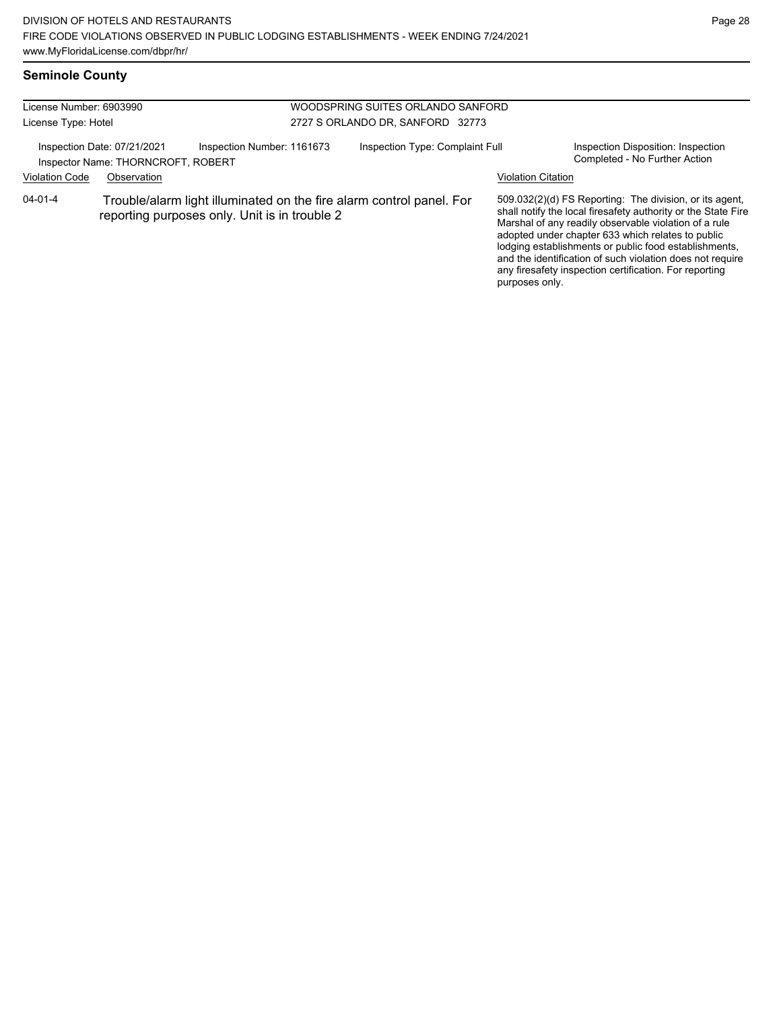### **Seminole County**

| License Number: 6903990<br>License Type: Hotel                                                                                         |  |                            | WOODSPRING SUITES ORLANDO SANFORD<br>2727 S ORLANDO DR, SANFORD 32773 |                |                                                                                                                                                                                                                                                                                                                                                                                                                        |
|----------------------------------------------------------------------------------------------------------------------------------------|--|----------------------------|-----------------------------------------------------------------------|----------------|------------------------------------------------------------------------------------------------------------------------------------------------------------------------------------------------------------------------------------------------------------------------------------------------------------------------------------------------------------------------------------------------------------------------|
| Inspection Date: 07/21/2021<br>Inspector Name: THORNCROFT, ROBERT<br><b>Violation Code</b><br>Observation                              |  | Inspection Number: 1161673 | Inspection Type: Complaint Full<br><b>Violation Citation</b>          |                | Inspection Disposition: Inspection<br>Completed - No Further Action                                                                                                                                                                                                                                                                                                                                                    |
| $04 - 01 - 4$<br>Trouble/alarm light illuminated on the fire alarm control panel. For<br>reporting purposes only. Unit is in trouble 2 |  |                            |                                                                       | purposes only. | 509.032(2)(d) FS Reporting: The division, or its agent,<br>shall notify the local firesafety authority or the State Fire<br>Marshal of any readily observable violation of a rule<br>adopted under chapter 633 which relates to public<br>lodging establishments or public food establishments,<br>and the identification of such violation does not require<br>any firesafety inspection certification. For reporting |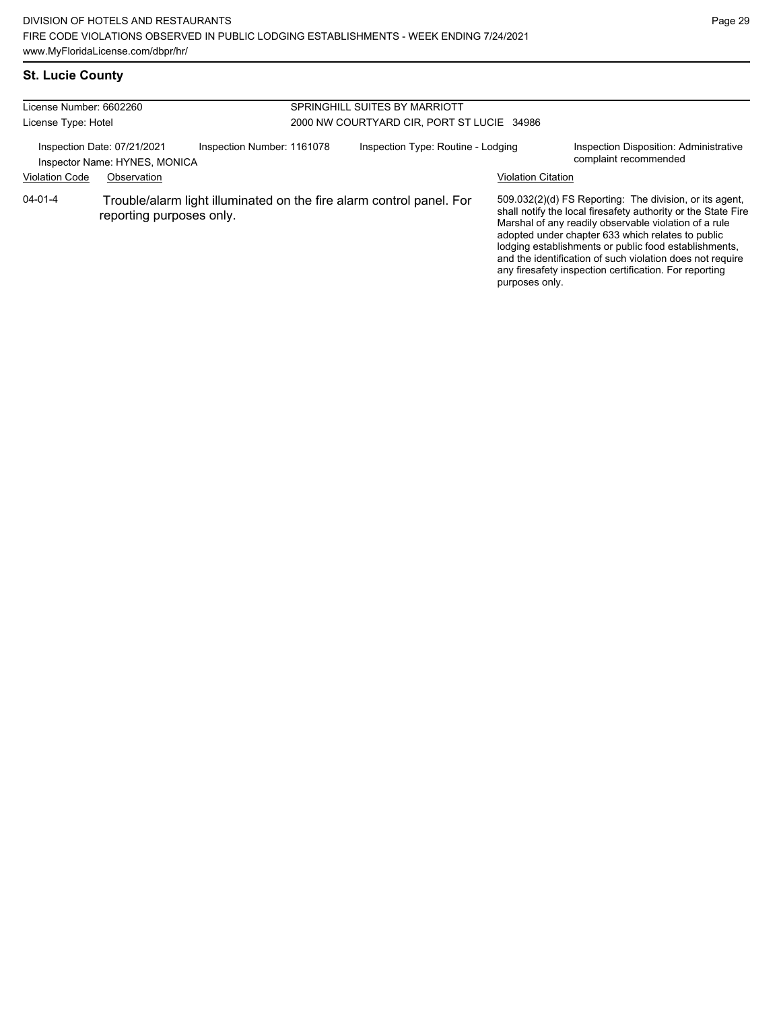# **St. Lucie County**

| License Number: 6602260                                                                    |                          |  | SPRINGHILL SUITES BY MARRIOTT              |                                                                      |                                                                 |                                                                                                                                                                                                                                                                                                                                                                                                                        |  |
|--------------------------------------------------------------------------------------------|--------------------------|--|--------------------------------------------|----------------------------------------------------------------------|-----------------------------------------------------------------|------------------------------------------------------------------------------------------------------------------------------------------------------------------------------------------------------------------------------------------------------------------------------------------------------------------------------------------------------------------------------------------------------------------------|--|
| License Type: Hotel                                                                        |                          |  | 2000 NW COURTYARD CIR, PORT ST LUCIE 34986 |                                                                      |                                                                 |                                                                                                                                                                                                                                                                                                                                                                                                                        |  |
| Inspection Number: 1161078<br>Inspection Date: 07/21/2021<br>Inspector Name: HYNES, MONICA |                          |  | Inspection Type: Routine - Lodging         |                                                                      | Inspection Disposition: Administrative<br>complaint recommended |                                                                                                                                                                                                                                                                                                                                                                                                                        |  |
| <b>Violation Code</b>                                                                      | Observation              |  |                                            |                                                                      | <b>Violation Citation</b>                                       |                                                                                                                                                                                                                                                                                                                                                                                                                        |  |
| $04 - 01 - 4$                                                                              | reporting purposes only. |  |                                            | Trouble/alarm light illuminated on the fire alarm control panel. For | purposes only.                                                  | 509.032(2)(d) FS Reporting: The division, or its agent,<br>shall notify the local firesafety authority or the State Fire<br>Marshal of any readily observable violation of a rule<br>adopted under chapter 633 which relates to public<br>lodging establishments or public food establishments,<br>and the identification of such violation does not require<br>any firesafety inspection certification. For reporting |  |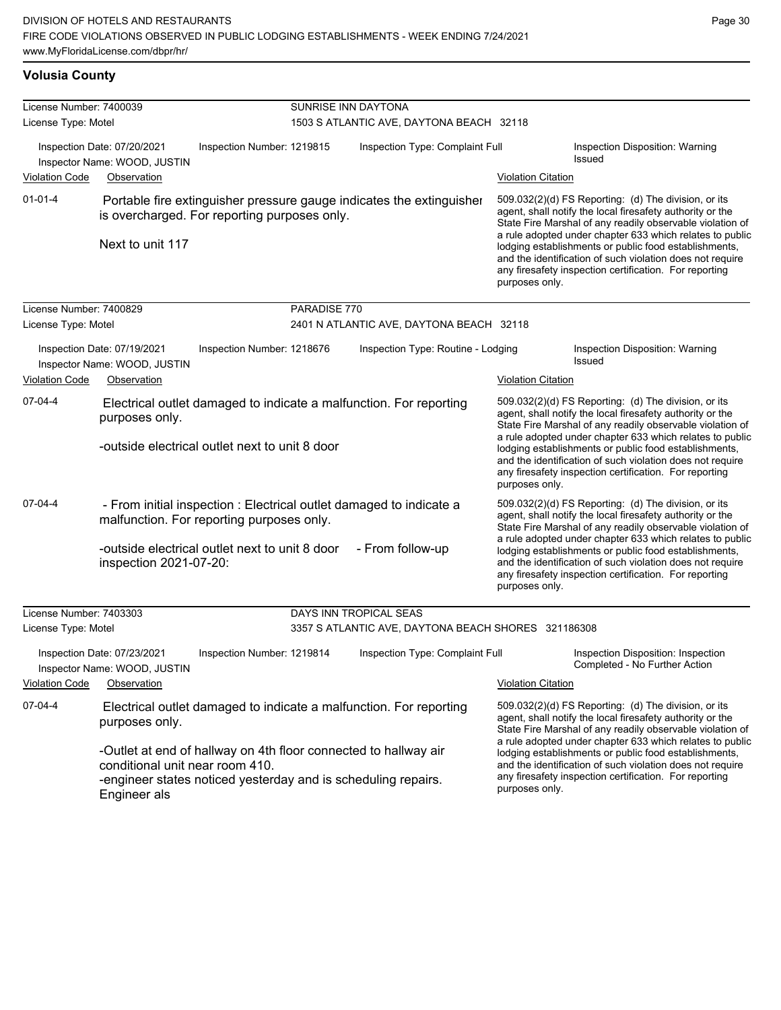#### **Volusia County**

| License Number: 7400039                                                                             |                                                                            |                                                                                                                                                                    |                                                                 |                                                                                                                                                                                                                                                                                                                                                                                                                                              |                                                                                                                                                                                                                                                                                                                                                                                                                            |  |  |  |
|-----------------------------------------------------------------------------------------------------|----------------------------------------------------------------------------|--------------------------------------------------------------------------------------------------------------------------------------------------------------------|-----------------------------------------------------------------|----------------------------------------------------------------------------------------------------------------------------------------------------------------------------------------------------------------------------------------------------------------------------------------------------------------------------------------------------------------------------------------------------------------------------------------------|----------------------------------------------------------------------------------------------------------------------------------------------------------------------------------------------------------------------------------------------------------------------------------------------------------------------------------------------------------------------------------------------------------------------------|--|--|--|
| License Type: Motel                                                                                 |                                                                            |                                                                                                                                                                    | SUNRISE INN DAYTONA<br>1503 S ATLANTIC AVE, DAYTONA BEACH 32118 |                                                                                                                                                                                                                                                                                                                                                                                                                                              |                                                                                                                                                                                                                                                                                                                                                                                                                            |  |  |  |
|                                                                                                     | Inspection Date: 07/20/2021<br>Inspector Name: WOOD, JUSTIN                | Inspection Number: 1219815                                                                                                                                         | Inspection Type: Complaint Full                                 |                                                                                                                                                                                                                                                                                                                                                                                                                                              | Inspection Disposition: Warning<br><b>Issued</b>                                                                                                                                                                                                                                                                                                                                                                           |  |  |  |
| <b>Violation Code</b><br>Observation                                                                |                                                                            |                                                                                                                                                                    |                                                                 | <b>Violation Citation</b>                                                                                                                                                                                                                                                                                                                                                                                                                    |                                                                                                                                                                                                                                                                                                                                                                                                                            |  |  |  |
| $01 - 01 - 4$                                                                                       | Next to unit 117                                                           | Portable fire extinguisher pressure gauge indicates the extinguisher<br>is overcharged. For reporting purposes only.                                               |                                                                 | purposes only.                                                                                                                                                                                                                                                                                                                                                                                                                               | 509.032(2)(d) FS Reporting: (d) The division, or its<br>agent, shall notify the local firesafety authority or the<br>State Fire Marshal of any readily observable violation of<br>a rule adopted under chapter 633 which relates to public<br>lodging establishments or public food establishments,<br>and the identification of such violation does not require<br>any firesafety inspection certification. For reporting |  |  |  |
| License Number: 7400829                                                                             |                                                                            | PARADISE 770                                                                                                                                                       |                                                                 |                                                                                                                                                                                                                                                                                                                                                                                                                                              |                                                                                                                                                                                                                                                                                                                                                                                                                            |  |  |  |
| License Type: Motel                                                                                 |                                                                            |                                                                                                                                                                    | 2401 N ATLANTIC AVE, DAYTONA BEACH 32118                        |                                                                                                                                                                                                                                                                                                                                                                                                                                              |                                                                                                                                                                                                                                                                                                                                                                                                                            |  |  |  |
| Inspection Date: 07/19/2021<br>Inspector Name: WOOD, JUSTIN<br><b>Violation Code</b><br>Observation |                                                                            | Inspection Type: Routine - Lodging<br>Inspection Number: 1218676                                                                                                   |                                                                 |                                                                                                                                                                                                                                                                                                                                                                                                                                              | Inspection Disposition: Warning<br>Issued                                                                                                                                                                                                                                                                                                                                                                                  |  |  |  |
|                                                                                                     |                                                                            |                                                                                                                                                                    |                                                                 |                                                                                                                                                                                                                                                                                                                                                                                                                                              | <b>Violation Citation</b>                                                                                                                                                                                                                                                                                                                                                                                                  |  |  |  |
| 07-04-4                                                                                             | purposes only.                                                             | Electrical outlet damaged to indicate a malfunction. For reporting<br>-outside electrical outlet next to unit 8 door                                               |                                                                 | 509.032(2)(d) FS Reporting: (d) The division, or its<br>agent, shall notify the local firesafety authority or the<br>State Fire Marshal of any readily observable violation of<br>a rule adopted under chapter 633 which relates to public<br>lodging establishments or public food establishments,<br>and the identification of such violation does not require<br>any firesafety inspection certification. For reporting<br>purposes only. |                                                                                                                                                                                                                                                                                                                                                                                                                            |  |  |  |
| 07-04-4                                                                                             | inspection 2021-07-20:                                                     | - From initial inspection : Electrical outlet damaged to indicate a<br>malfunction. For reporting purposes only.<br>-outside electrical outlet next to unit 8 door | - From follow-up                                                | purposes only.                                                                                                                                                                                                                                                                                                                                                                                                                               | 509.032(2)(d) FS Reporting: (d) The division, or its<br>agent, shall notify the local firesafety authority or the<br>State Fire Marshal of any readily observable violation of<br>a rule adopted under chapter 633 which relates to public<br>lodging establishments or public food establishments,<br>and the identification of such violation does not require<br>any firesafety inspection certification. For reporting |  |  |  |
| License Number: 7403303                                                                             |                                                                            |                                                                                                                                                                    | DAYS INN TROPICAL SEAS                                          |                                                                                                                                                                                                                                                                                                                                                                                                                                              |                                                                                                                                                                                                                                                                                                                                                                                                                            |  |  |  |
| License Type: Motel                                                                                 |                                                                            |                                                                                                                                                                    | 3357 S ATLANTIC AVE, DAYTONA BEACH SHORES 321186308             |                                                                                                                                                                                                                                                                                                                                                                                                                                              |                                                                                                                                                                                                                                                                                                                                                                                                                            |  |  |  |
| <b>Violation Code</b>                                                                               | Inspection Date: 07/23/2021<br>Inspector Name: WOOD, JUSTIN<br>Observation | Inspection Number: 1219814                                                                                                                                         | Inspection Type: Complaint Full                                 | <b>Violation Citation</b>                                                                                                                                                                                                                                                                                                                                                                                                                    | Inspection Disposition: Inspection<br>Completed - No Further Action                                                                                                                                                                                                                                                                                                                                                        |  |  |  |
| 07-04-4                                                                                             | purposes only.<br>conditional unit near room 410.                          | Electrical outlet damaged to indicate a malfunction. For reporting<br>-Outlet at end of hallway on 4th floor connected to hallway air                              |                                                                 | 509.032(2)(d) FS Reporting: (d) The division, or its<br>agent, shall notify the local firesafety authority or the<br>State Fire Marshal of any readily observable violation of<br>a rule adopted under chapter 633 which relates to public<br>lodging establishments or public food establishments,<br>and the identification of such violation does not require                                                                             |                                                                                                                                                                                                                                                                                                                                                                                                                            |  |  |  |
|                                                                                                     | Engineer alc                                                               | -engineer states noticed yesterday and is scheduling repairs.                                                                                                      | purposes only.                                                  | any firesafety inspection certification. For reporting                                                                                                                                                                                                                                                                                                                                                                                       |                                                                                                                                                                                                                                                                                                                                                                                                                            |  |  |  |

-engineer states noticed yesterday and is scheduling repairs. Engineer als